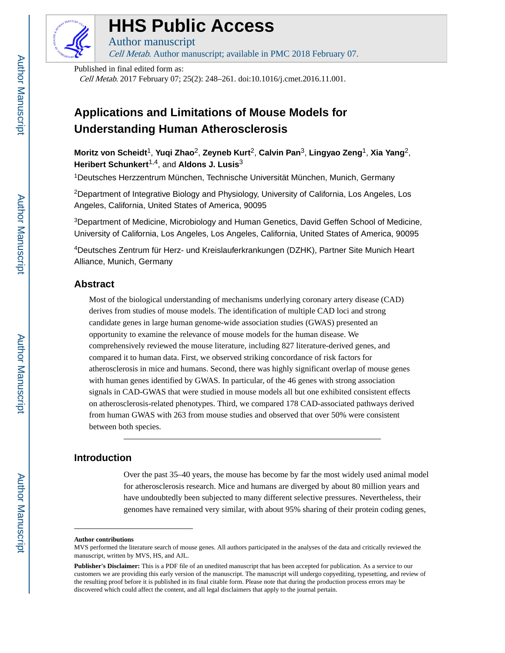

# **HHS Public Access**

Author manuscript Cell Metab. Author manuscript; available in PMC 2018 February 07.

Published in final edited form as:

Cell Metab. 2017 February 07; 25(2): 248–261. doi:10.1016/j.cmet.2016.11.001.

## **Applications and Limitations of Mouse Models for Understanding Human Atherosclerosis**

**Moritz von Scheidt**1, **Yuqi Zhao**2, **Zeyneb Kurt**2, **Calvin Pan**3, **Lingyao Zeng**1, **Xia Yang**2, **Heribert Schunkert**1,4, and **Aldons J. Lusis**<sup>3</sup>

<sup>1</sup>Deutsches Herzzentrum München, Technische Universität München, Munich, Germany

<sup>2</sup>Department of Integrative Biology and Physiology, University of California, Los Angeles, Los Angeles, California, United States of America, 90095

<sup>3</sup>Department of Medicine, Microbiology and Human Genetics, David Geffen School of Medicine, University of California, Los Angeles, Los Angeles, California, United States of America, 90095

<sup>4</sup>Deutsches Zentrum für Herz- und Kreislauferkrankungen (DZHK), Partner Site Munich Heart Alliance, Munich, Germany

## **Abstract**

Most of the biological understanding of mechanisms underlying coronary artery disease (CAD) derives from studies of mouse models. The identification of multiple CAD loci and strong candidate genes in large human genome-wide association studies (GWAS) presented an opportunity to examine the relevance of mouse models for the human disease. We comprehensively reviewed the mouse literature, including 827 literature-derived genes, and compared it to human data. First, we observed striking concordance of risk factors for atherosclerosis in mice and humans. Second, there was highly significant overlap of mouse genes with human genes identified by GWAS. In particular, of the 46 genes with strong association signals in CAD-GWAS that were studied in mouse models all but one exhibited consistent effects on atherosclerosis-related phenotypes. Third, we compared 178 CAD-associated pathways derived from human GWAS with 263 from mouse studies and observed that over 50% were consistent between both species.

## **Introduction**

Over the past 35–40 years, the mouse has become by far the most widely used animal model for atherosclerosis research. Mice and humans are diverged by about 80 million years and have undoubtedly been subjected to many different selective pressures. Nevertheless, their genomes have remained very similar, with about 95% sharing of their protein coding genes,

#### **Author contributions**

MVS performed the literature search of mouse genes. All authors participated in the analyses of the data and critically reviewed the manuscript, written by MVS, HS, and AJL.

**Publisher's Disclaimer:** This is a PDF file of an unedited manuscript that has been accepted for publication. As a service to our customers we are providing this early version of the manuscript. The manuscript will undergo copyediting, typesetting, and review of the resulting proof before it is published in its final citable form. Please note that during the production process errors may be discovered which could affect the content, and all legal disclaimers that apply to the journal pertain.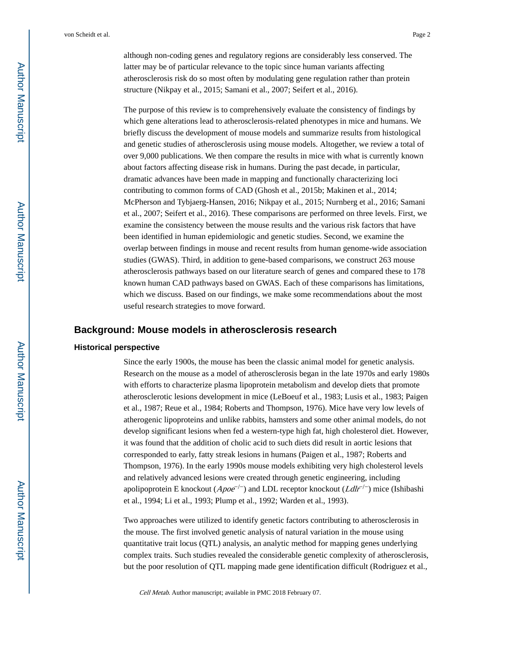although non-coding genes and regulatory regions are considerably less conserved. The latter may be of particular relevance to the topic since human variants affecting atherosclerosis risk do so most often by modulating gene regulation rather than protein structure (Nikpay et al., 2015; Samani et al., 2007; Seifert et al., 2016).

The purpose of this review is to comprehensively evaluate the consistency of findings by which gene alterations lead to atherosclerosis-related phenotypes in mice and humans. We briefly discuss the development of mouse models and summarize results from histological and genetic studies of atherosclerosis using mouse models. Altogether, we review a total of over 9,000 publications. We then compare the results in mice with what is currently known about factors affecting disease risk in humans. During the past decade, in particular, dramatic advances have been made in mapping and functionally characterizing loci contributing to common forms of CAD (Ghosh et al., 2015b; Makinen et al., 2014; McPherson and Tybjaerg-Hansen, 2016; Nikpay et al., 2015; Nurnberg et al., 2016; Samani et al., 2007; Seifert et al., 2016). These comparisons are performed on three levels. First, we examine the consistency between the mouse results and the various risk factors that have been identified in human epidemiologic and genetic studies. Second, we examine the overlap between findings in mouse and recent results from human genome-wide association studies (GWAS). Third, in addition to gene-based comparisons, we construct 263 mouse atherosclerosis pathways based on our literature search of genes and compared these to 178 known human CAD pathways based on GWAS. Each of these comparisons has limitations, which we discuss. Based on our findings, we make some recommendations about the most useful research strategies to move forward.

## **Background: Mouse models in atherosclerosis research**

#### **Historical perspective**

Since the early 1900s, the mouse has been the classic animal model for genetic analysis. Research on the mouse as a model of atherosclerosis began in the late 1970s and early 1980s with efforts to characterize plasma lipoprotein metabolism and develop diets that promote atherosclerotic lesions development in mice (LeBoeuf et al., 1983; Lusis et al., 1983; Paigen et al., 1987; Reue et al., 1984; Roberts and Thompson, 1976). Mice have very low levels of atherogenic lipoproteins and unlike rabbits, hamsters and some other animal models, do not develop significant lesions when fed a western-type high fat, high cholesterol diet. However, it was found that the addition of cholic acid to such diets did result in aortic lesions that corresponded to early, fatty streak lesions in humans (Paigen et al., 1987; Roberts and Thompson, 1976). In the early 1990s mouse models exhibiting very high cholesterol levels and relatively advanced lesions were created through genetic engineering, including apolipoprotein E knockout ( $Apoe^{-/-}$ ) and LDL receptor knockout ( $Ldlr^{-/-}$ ) mice (Ishibashi et al., 1994; Li et al., 1993; Plump et al., 1992; Warden et al., 1993).

Two approaches were utilized to identify genetic factors contributing to atherosclerosis in the mouse. The first involved genetic analysis of natural variation in the mouse using quantitative trait locus (QTL) analysis, an analytic method for mapping genes underlying complex traits. Such studies revealed the considerable genetic complexity of atherosclerosis, but the poor resolution of QTL mapping made gene identification difficult (Rodriguez et al.,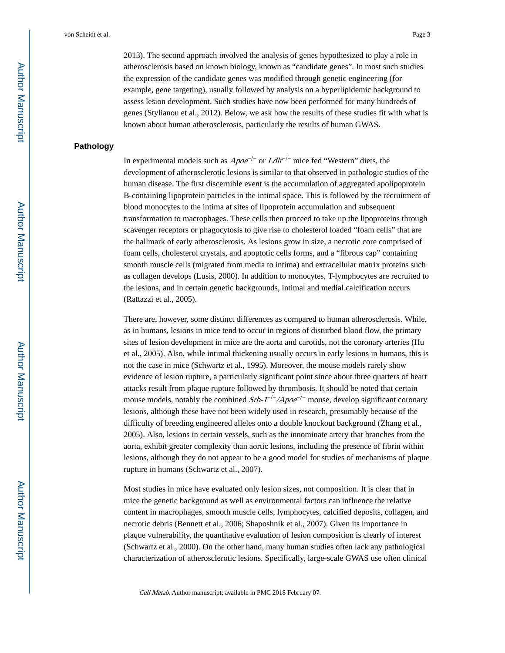2013). The second approach involved the analysis of genes hypothesized to play a role in atherosclerosis based on known biology, known as "candidate genes". In most such studies the expression of the candidate genes was modified through genetic engineering (for example, gene targeting), usually followed by analysis on a hyperlipidemic background to assess lesion development. Such studies have now been performed for many hundreds of genes (Stylianou et al., 2012). Below, we ask how the results of these studies fit with what is known about human atherosclerosis, particularly the results of human GWAS.

#### **Pathology**

In experimental models such as  $Apoe^{-/-}$  or  $Ldh^{-/-}$  mice fed "Western" diets, the development of atherosclerotic lesions is similar to that observed in pathologic studies of the human disease. The first discernible event is the accumulation of aggregated apolipoprotein B-containing lipoprotein particles in the intimal space. This is followed by the recruitment of blood monocytes to the intima at sites of lipoprotein accumulation and subsequent transformation to macrophages. These cells then proceed to take up the lipoproteins through scavenger receptors or phagocytosis to give rise to cholesterol loaded "foam cells" that are the hallmark of early atherosclerosis. As lesions grow in size, a necrotic core comprised of foam cells, cholesterol crystals, and apoptotic cells forms, and a "fibrous cap" containing smooth muscle cells (migrated from media to intima) and extracellular matrix proteins such as collagen develops (Lusis, 2000). In addition to monocytes, T-lymphocytes are recruited to the lesions, and in certain genetic backgrounds, intimal and medial calcification occurs (Rattazzi et al., 2005).

There are, however, some distinct differences as compared to human atherosclerosis. While, as in humans, lesions in mice tend to occur in regions of disturbed blood flow, the primary sites of lesion development in mice are the aorta and carotids, not the coronary arteries (Hu et al., 2005). Also, while intimal thickening usually occurs in early lesions in humans, this is not the case in mice (Schwartz et al., 1995). Moreover, the mouse models rarely show evidence of lesion rupture, a particularly significant point since about three quarters of heart attacks result from plaque rupture followed by thrombosis. It should be noted that certain mouse models, notably the combined  $Srb-I^{-/-}/Apoe^{-/-}$  mouse, develop significant coronary lesions, although these have not been widely used in research, presumably because of the difficulty of breeding engineered alleles onto a double knockout background (Zhang et al., 2005). Also, lesions in certain vessels, such as the innominate artery that branches from the aorta, exhibit greater complexity than aortic lesions, including the presence of fibrin within lesions, although they do not appear to be a good model for studies of mechanisms of plaque rupture in humans (Schwartz et al., 2007).

Most studies in mice have evaluated only lesion sizes, not composition. It is clear that in mice the genetic background as well as environmental factors can influence the relative content in macrophages, smooth muscle cells, lymphocytes, calcified deposits, collagen, and necrotic debris (Bennett et al., 2006; Shaposhnik et al., 2007). Given its importance in plaque vulnerability, the quantitative evaluation of lesion composition is clearly of interest (Schwartz et al., 2000). On the other hand, many human studies often lack any pathological characterization of atherosclerotic lesions. Specifically, large-scale GWAS use often clinical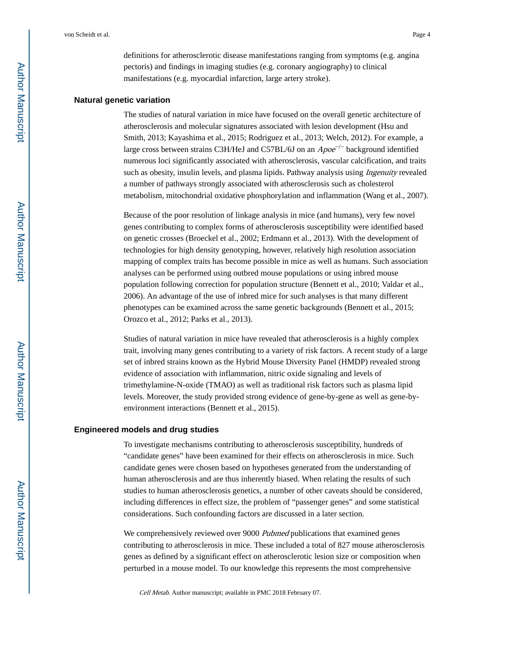definitions for atherosclerotic disease manifestations ranging from symptoms (e.g. angina pectoris) and findings in imaging studies (e.g. coronary angiography) to clinical manifestations (e.g. myocardial infarction, large artery stroke).

#### **Natural genetic variation**

The studies of natural variation in mice have focused on the overall genetic architecture of atherosclerosis and molecular signatures associated with lesion development (Hsu and Smith, 2013; Kayashima et al., 2015; Rodriguez et al., 2013; Welch, 2012). For example, a large cross between strains C3H/HeJ and C57BL/6J on an  $Apoe^{-/-}$  background identified numerous loci significantly associated with atherosclerosis, vascular calcification, and traits such as obesity, insulin levels, and plasma lipids. Pathway analysis using *Ingenuity* revealed a number of pathways strongly associated with atherosclerosis such as cholesterol metabolism, mitochondrial oxidative phosphorylation and inflammation (Wang et al., 2007).

Because of the poor resolution of linkage analysis in mice (and humans), very few novel genes contributing to complex forms of atherosclerosis susceptibility were identified based on genetic crosses (Broeckel et al., 2002; Erdmann et al., 2013). With the development of technologies for high density genotyping, however, relatively high resolution association mapping of complex traits has become possible in mice as well as humans. Such association analyses can be performed using outbred mouse populations or using inbred mouse population following correction for population structure (Bennett et al., 2010; Valdar et al., 2006). An advantage of the use of inbred mice for such analyses is that many different phenotypes can be examined across the same genetic backgrounds (Bennett et al., 2015; Orozco et al., 2012; Parks et al., 2013).

Studies of natural variation in mice have revealed that atherosclerosis is a highly complex trait, involving many genes contributing to a variety of risk factors. A recent study of a large set of inbred strains known as the Hybrid Mouse Diversity Panel (HMDP) revealed strong evidence of association with inflammation, nitric oxide signaling and levels of trimethylamine-N-oxide (TMAO) as well as traditional risk factors such as plasma lipid levels. Moreover, the study provided strong evidence of gene-by-gene as well as gene-byenvironment interactions (Bennett et al., 2015).

#### **Engineered models and drug studies**

To investigate mechanisms contributing to atherosclerosis susceptibility, hundreds of "candidate genes" have been examined for their effects on atherosclerosis in mice. Such candidate genes were chosen based on hypotheses generated from the understanding of human atherosclerosis and are thus inherently biased. When relating the results of such studies to human atherosclerosis genetics, a number of other caveats should be considered, including differences in effect size, the problem of "passenger genes" and some statistical considerations. Such confounding factors are discussed in a later section.

We comprehensively reviewed over 9000 Pubmed publications that examined genes contributing to atherosclerosis in mice. These included a total of 827 mouse atherosclerosis genes as defined by a significant effect on atherosclerotic lesion size or composition when perturbed in a mouse model. To our knowledge this represents the most comprehensive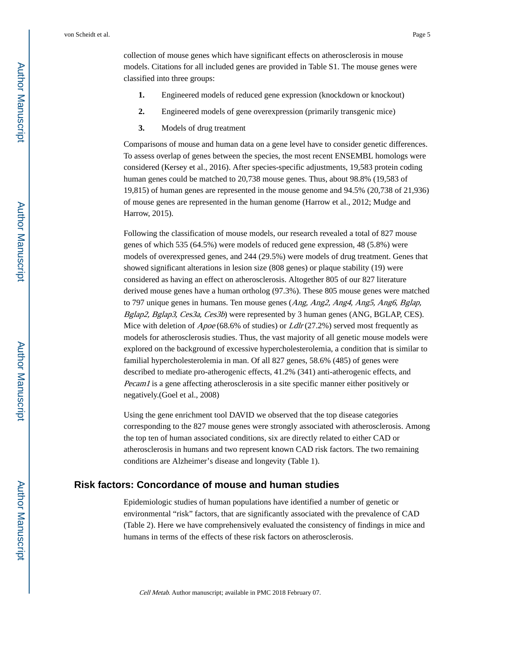collection of mouse genes which have significant effects on atherosclerosis in mouse models. Citations for all included genes are provided in Table S1. The mouse genes were classified into three groups:

- **1.** Engineered models of reduced gene expression (knockdown or knockout)
- **2.** Engineered models of gene overexpression (primarily transgenic mice)
- **3.** Models of drug treatment

Comparisons of mouse and human data on a gene level have to consider genetic differences. To assess overlap of genes between the species, the most recent ENSEMBL homologs were considered (Kersey et al., 2016). After species-specific adjustments, 19,583 protein coding human genes could be matched to 20,738 mouse genes. Thus, about 98.8% (19,583 of 19,815) of human genes are represented in the mouse genome and 94.5% (20,738 of 21,936) of mouse genes are represented in the human genome (Harrow et al., 2012; Mudge and Harrow, 2015).

Following the classification of mouse models, our research revealed a total of 827 mouse genes of which 535 (64.5%) were models of reduced gene expression, 48 (5.8%) were models of overexpressed genes, and 244 (29.5%) were models of drug treatment. Genes that showed significant alterations in lesion size (808 genes) or plaque stability (19) were considered as having an effect on atherosclerosis. Altogether 805 of our 827 literature derived mouse genes have a human ortholog (97.3%). These 805 mouse genes were matched to 797 unique genes in humans. Ten mouse genes (Ang, Ang2, Ang4, Ang5, Ang6, Bglap, Bglap2, Bglap3, Ces3a, Ces3b) were represented by 3 human genes (ANG, BGLAP, CES). Mice with deletion of  $Apoe$  (68.6% of studies) or  $Ldir(27.2%)$  served most frequently as models for atherosclerosis studies. Thus, the vast majority of all genetic mouse models were explored on the background of excessive hypercholesterolemia, a condition that is similar to familial hypercholesterolemia in man. Of all 827 genes, 58.6% (485) of genes were described to mediate pro-atherogenic effects, 41.2% (341) anti-atherogenic effects, and Pecam1 is a gene affecting atherosclerosis in a site specific manner either positively or negatively.(Goel et al., 2008)

Using the gene enrichment tool DAVID we observed that the top disease categories corresponding to the 827 mouse genes were strongly associated with atherosclerosis. Among the top ten of human associated conditions, six are directly related to either CAD or atherosclerosis in humans and two represent known CAD risk factors. The two remaining conditions are Alzheimer's disease and longevity (Table 1).

## **Risk factors: Concordance of mouse and human studies**

Epidemiologic studies of human populations have identified a number of genetic or environmental "risk" factors, that are significantly associated with the prevalence of CAD (Table 2). Here we have comprehensively evaluated the consistency of findings in mice and humans in terms of the effects of these risk factors on atherosclerosis.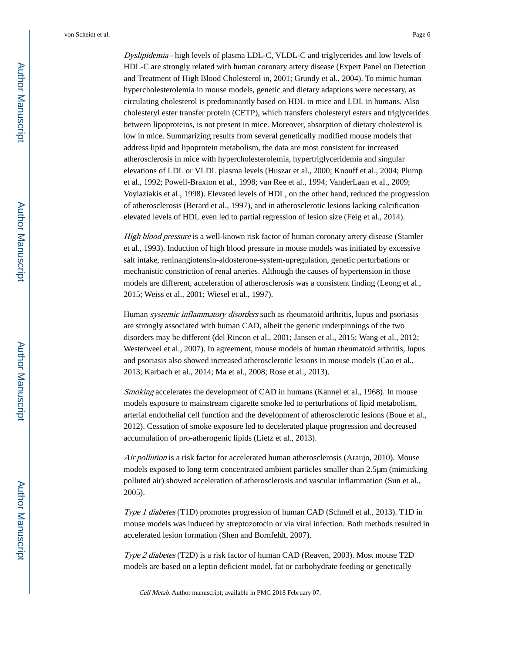Dyslipidemia - high levels of plasma LDL-C, VLDL-C and triglycerides and low levels of HDL-C are strongly related with human coronary artery disease (Expert Panel on Detection and Treatment of High Blood Cholesterol in, 2001; Grundy et al., 2004). To mimic human hypercholesterolemia in mouse models, genetic and dietary adaptions were necessary, as circulating cholesterol is predominantly based on HDL in mice and LDL in humans. Also cholesteryl ester transfer protein (CETP), which transfers cholesteryl esters and triglycerides between lipoproteins, is not present in mice. Moreover, absorption of dietary cholesterol is low in mice. Summarizing results from several genetically modified mouse models that address lipid and lipoprotein metabolism, the data are most consistent for increased atherosclerosis in mice with hypercholesterolemia, hypertriglyceridemia and singular elevations of LDL or VLDL plasma levels (Huszar et al., 2000; Knouff et al., 2004; Plump et al., 1992; Powell-Braxton et al., 1998; van Ree et al., 1994; VanderLaan et al., 2009; Voyiaziakis et al., 1998). Elevated levels of HDL, on the other hand, reduced the progression of atherosclerosis (Berard et al., 1997), and in atherosclerotic lesions lacking calcification elevated levels of HDL even led to partial regression of lesion size (Feig et al., 2014).

High blood pressure is a well-known risk factor of human coronary artery disease (Stamler et al., 1993). Induction of high blood pressure in mouse models was initiated by excessive salt intake, reninangiotensin-aldosterone-system-upregulation, genetic perturbations or mechanistic constriction of renal arteries. Although the causes of hypertension in those models are different, acceleration of atherosclerosis was a consistent finding (Leong et al., 2015; Weiss et al., 2001; Wiesel et al., 1997).

Human *systemic inflammatory disorders* such as rheumatoid arthritis, lupus and psoriasis are strongly associated with human CAD, albeit the genetic underpinnings of the two disorders may be different (del Rincon et al., 2001; Jansen et al., 2015; Wang et al., 2012; Westerweel et al., 2007). In agreement, mouse models of human rheumatoid arthritis, lupus and psoriasis also showed increased atherosclerotic lesions in mouse models (Cao et al., 2013; Karbach et al., 2014; Ma et al., 2008; Rose et al., 2013).

Smoking accelerates the development of CAD in humans (Kannel et al., 1968). In mouse models exposure to mainstream cigarette smoke led to perturbations of lipid metabolism, arterial endothelial cell function and the development of atherosclerotic lesions (Boue et al., 2012). Cessation of smoke exposure led to decelerated plaque progression and decreased accumulation of pro-atherogenic lipids (Lietz et al., 2013).

Air pollution is a risk factor for accelerated human atherosclerosis (Araujo, 2010). Mouse models exposed to long term concentrated ambient particles smaller than 2.5μm (mimicking polluted air) showed acceleration of atherosclerosis and vascular inflammation (Sun et al., 2005).

Type 1 diabetes (T1D) promotes progression of human CAD (Schnell et al., 2013). T1D in mouse models was induced by streptozotocin or via viral infection. Both methods resulted in accelerated lesion formation (Shen and Bornfeldt, 2007).

Type 2 diabetes (T2D) is a risk factor of human CAD (Reaven, 2003). Most mouse T2D models are based on a leptin deficient model, fat or carbohydrate feeding or genetically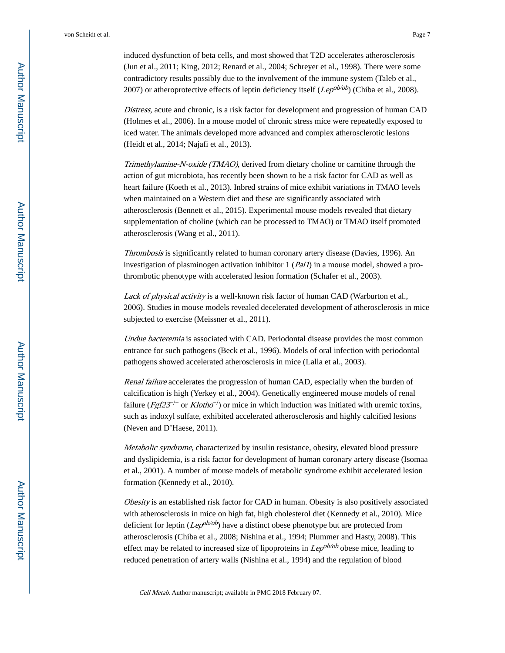induced dysfunction of beta cells, and most showed that T2D accelerates atherosclerosis (Jun et al., 2011; King, 2012; Renard et al., 2004; Schreyer et al., 1998). There were some contradictory results possibly due to the involvement of the immune system (Taleb et al., 2007) or atheroprotective effects of leptin deficiency itself ( $Lep^{ob/ob}$ ) (Chiba et al., 2008).

Distress, acute and chronic, is a risk factor for development and progression of human CAD (Holmes et al., 2006). In a mouse model of chronic stress mice were repeatedly exposed to iced water. The animals developed more advanced and complex atherosclerotic lesions (Heidt et al., 2014; Najafi et al., 2013).

Trimethylamine-N-oxide (TMAO), derived from dietary choline or carnitine through the action of gut microbiota, has recently been shown to be a risk factor for CAD as well as heart failure (Koeth et al., 2013). Inbred strains of mice exhibit variations in TMAO levels when maintained on a Western diet and these are significantly associated with atherosclerosis (Bennett et al., 2015). Experimental mouse models revealed that dietary supplementation of choline (which can be processed to TMAO) or TMAO itself promoted atherosclerosis (Wang et al., 2011).

Thrombosis is significantly related to human coronary artery disease (Davies, 1996). An investigation of plasminogen activation inhibitor  $1 (PaiI)$  in a mouse model, showed a prothrombotic phenotype with accelerated lesion formation (Schafer et al., 2003).

Lack of physical activity is a well-known risk factor of human CAD (Warburton et al., 2006). Studies in mouse models revealed decelerated development of atherosclerosis in mice subjected to exercise (Meissner et al., 2011).

Undue bacteremia is associated with CAD. Periodontal disease provides the most common entrance for such pathogens (Beck et al., 1996). Models of oral infection with periodontal pathogens showed accelerated atherosclerosis in mice (Lalla et al., 2003).

Renal failure accelerates the progression of human CAD, especially when the burden of calcification is high (Yerkey et al., 2004). Genetically engineered mouse models of renal failure ( $Fg f 23^{-/-}$  or Klotho<sup>-/</sup>) or mice in which induction was initiated with uremic toxins, such as indoxyl sulfate, exhibited accelerated atherosclerosis and highly calcified lesions (Neven and D'Haese, 2011).

Metabolic syndrome, characterized by insulin resistance, obesity, elevated blood pressure and dyslipidemia, is a risk factor for development of human coronary artery disease (Isomaa et al., 2001). A number of mouse models of metabolic syndrome exhibit accelerated lesion formation (Kennedy et al., 2010).

Obesity is an established risk factor for CAD in human. Obesity is also positively associated with atherosclerosis in mice on high fat, high cholesterol diet (Kennedy et al., 2010). Mice deficient for leptin ( $Lep^{ob/ob}$ ) have a distinct obese phenotype but are protected from atherosclerosis (Chiba et al., 2008; Nishina et al., 1994; Plummer and Hasty, 2008). This effect may be related to increased size of lipoproteins in  $Lep^{ob/ob}$  obese mice, leading to reduced penetration of artery walls (Nishina et al., 1994) and the regulation of blood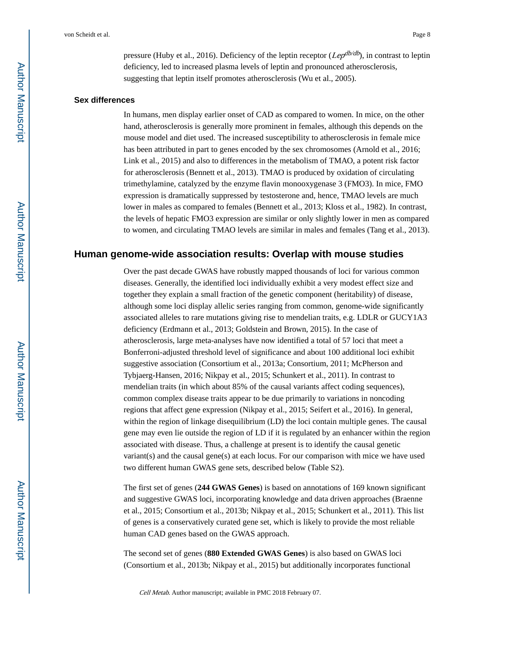pressure (Huby et al., 2016). Deficiency of the leptin receptor ( $Lep^{db/db}$ ), in contrast to leptin deficiency, led to increased plasma levels of leptin and pronounced atherosclerosis, suggesting that leptin itself promotes atherosclerosis (Wu et al., 2005).

#### **Sex differences**

In humans, men display earlier onset of CAD as compared to women. In mice, on the other hand, atherosclerosis is generally more prominent in females, although this depends on the mouse model and diet used. The increased susceptibility to atherosclerosis in female mice has been attributed in part to genes encoded by the sex chromosomes (Arnold et al., 2016; Link et al., 2015) and also to differences in the metabolism of TMAO, a potent risk factor for atherosclerosis (Bennett et al., 2013). TMAO is produced by oxidation of circulating trimethylamine, catalyzed by the enzyme flavin monooxygenase 3 (FMO3). In mice, FMO expression is dramatically suppressed by testosterone and, hence, TMAO levels are much lower in males as compared to females (Bennett et al., 2013; Kloss et al., 1982). In contrast, the levels of hepatic FMO3 expression are similar or only slightly lower in men as compared to women, and circulating TMAO levels are similar in males and females (Tang et al., 2013).

### **Human genome-wide association results: Overlap with mouse studies**

Over the past decade GWAS have robustly mapped thousands of loci for various common diseases. Generally, the identified loci individually exhibit a very modest effect size and together they explain a small fraction of the genetic component (heritability) of disease, although some loci display allelic series ranging from common, genome-wide significantly associated alleles to rare mutations giving rise to mendelian traits, e.g. LDLR or GUCY1A3 deficiency (Erdmann et al., 2013; Goldstein and Brown, 2015). In the case of atherosclerosis, large meta-analyses have now identified a total of 57 loci that meet a Bonferroni-adjusted threshold level of significance and about 100 additional loci exhibit suggestive association (Consortium et al., 2013a; Consortium, 2011; McPherson and Tybjaerg-Hansen, 2016; Nikpay et al., 2015; Schunkert et al., 2011). In contrast to mendelian traits (in which about 85% of the causal variants affect coding sequences), common complex disease traits appear to be due primarily to variations in noncoding regions that affect gene expression (Nikpay et al., 2015; Seifert et al., 2016). In general, within the region of linkage disequilibrium (LD) the loci contain multiple genes. The causal gene may even lie outside the region of LD if it is regulated by an enhancer within the region associated with disease. Thus, a challenge at present is to identify the causal genetic variant(s) and the causal gene(s) at each locus. For our comparison with mice we have used two different human GWAS gene sets, described below (Table S2).

The first set of genes (**244 GWAS Genes**) is based on annotations of 169 known significant and suggestive GWAS loci, incorporating knowledge and data driven approaches (Braenne et al., 2015; Consortium et al., 2013b; Nikpay et al., 2015; Schunkert et al., 2011). This list of genes is a conservatively curated gene set, which is likely to provide the most reliable human CAD genes based on the GWAS approach.

The second set of genes (**880 Extended GWAS Genes**) is also based on GWAS loci (Consortium et al., 2013b; Nikpay et al., 2015) but additionally incorporates functional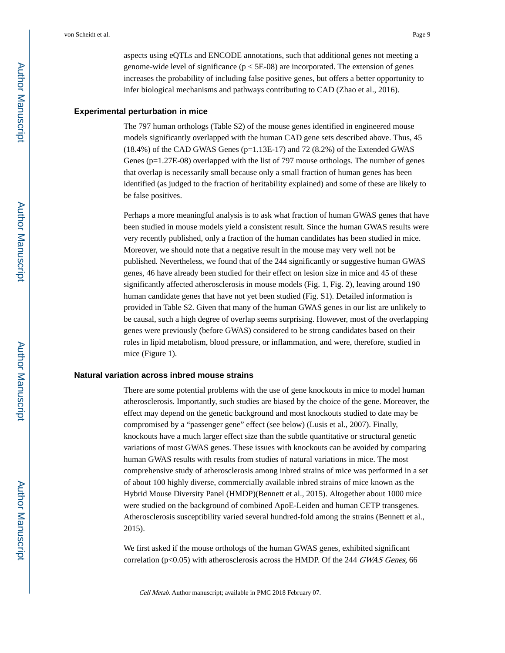aspects using eQTLs and ENCODE annotations, such that additional genes not meeting a genome-wide level of significance ( $p < 5E-08$ ) are incorporated. The extension of genes increases the probability of including false positive genes, but offers a better opportunity to infer biological mechanisms and pathways contributing to CAD (Zhao et al., 2016).

#### **Experimental perturbation in mice**

The 797 human orthologs (Table S2) of the mouse genes identified in engineered mouse models significantly overlapped with the human CAD gene sets described above. Thus, 45 (18.4%) of the CAD GWAS Genes (p=1.13E-17) and 72 (8.2%) of the Extended GWAS Genes (p=1.27E-08) overlapped with the list of 797 mouse orthologs. The number of genes that overlap is necessarily small because only a small fraction of human genes has been identified (as judged to the fraction of heritability explained) and some of these are likely to be false positives.

Perhaps a more meaningful analysis is to ask what fraction of human GWAS genes that have been studied in mouse models yield a consistent result. Since the human GWAS results were very recently published, only a fraction of the human candidates has been studied in mice. Moreover, we should note that a negative result in the mouse may very well not be published. Nevertheless, we found that of the 244 significantly or suggestive human GWAS genes, 46 have already been studied for their effect on lesion size in mice and 45 of these significantly affected atherosclerosis in mouse models (Fig. 1, Fig. 2), leaving around 190 human candidate genes that have not yet been studied (Fig. S1). Detailed information is provided in Table S2. Given that many of the human GWAS genes in our list are unlikely to be causal, such a high degree of overlap seems surprising. However, most of the overlapping genes were previously (before GWAS) considered to be strong candidates based on their roles in lipid metabolism, blood pressure, or inflammation, and were, therefore, studied in mice (Figure 1).

#### **Natural variation across inbred mouse strains**

There are some potential problems with the use of gene knockouts in mice to model human atherosclerosis. Importantly, such studies are biased by the choice of the gene. Moreover, the effect may depend on the genetic background and most knockouts studied to date may be compromised by a "passenger gene" effect (see below) (Lusis et al., 2007). Finally, knockouts have a much larger effect size than the subtle quantitative or structural genetic variations of most GWAS genes. These issues with knockouts can be avoided by comparing human GWAS results with results from studies of natural variations in mice. The most comprehensive study of atherosclerosis among inbred strains of mice was performed in a set of about 100 highly diverse, commercially available inbred strains of mice known as the Hybrid Mouse Diversity Panel (HMDP)(Bennett et al., 2015). Altogether about 1000 mice were studied on the background of combined ApoE-Leiden and human CETP transgenes. Atherosclerosis susceptibility varied several hundred-fold among the strains (Bennett et al., 2015).

We first asked if the mouse orthologs of the human GWAS genes, exhibited significant correlation ( $p<0.05$ ) with atherosclerosis across the HMDP. Of the 244 *GWAS Genes*, 66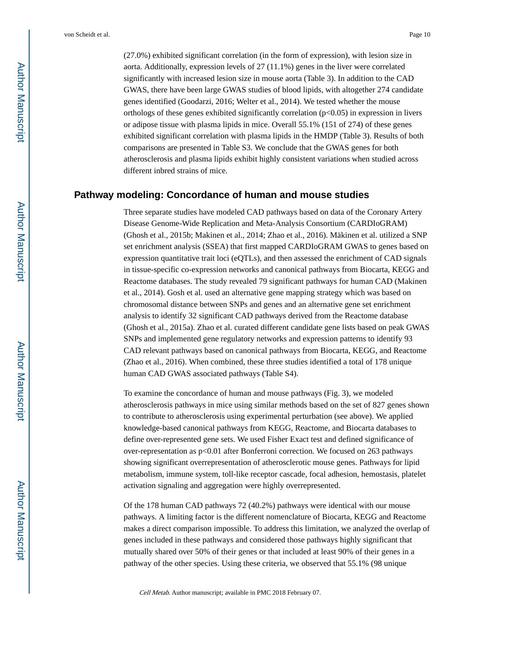(27.0%) exhibited significant correlation (in the form of expression), with lesion size in aorta. Additionally, expression levels of 27 (11.1%) genes in the liver were correlated significantly with increased lesion size in mouse aorta (Table 3). In addition to the CAD GWAS, there have been large GWAS studies of blood lipids, with altogether 274 candidate genes identified (Goodarzi, 2016; Welter et al., 2014). We tested whether the mouse orthologs of these genes exhibited significantly correlation (p<0.05) in expression in livers or adipose tissue with plasma lipids in mice. Overall 55.1% (151 of 274) of these genes exhibited significant correlation with plasma lipids in the HMDP (Table 3). Results of both comparisons are presented in Table S3. We conclude that the GWAS genes for both atherosclerosis and plasma lipids exhibit highly consistent variations when studied across different inbred strains of mice.

#### **Pathway modeling: Concordance of human and mouse studies**

Three separate studies have modeled CAD pathways based on data of the Coronary Artery Disease Genome-Wide Replication and Meta-Analysis Consortium (CARDIoGRAM) (Ghosh et al., 2015b; Makinen et al., 2014; Zhao et al., 2016). Mäkinen et al. utilized a SNP set enrichment analysis (SSEA) that first mapped CARDIoGRAM GWAS to genes based on expression quantitative trait loci (eQTLs), and then assessed the enrichment of CAD signals in tissue-specific co-expression networks and canonical pathways from Biocarta, KEGG and Reactome databases. The study revealed 79 significant pathways for human CAD (Makinen et al., 2014). Gosh et al. used an alternative gene mapping strategy which was based on chromosomal distance between SNPs and genes and an alternative gene set enrichment analysis to identify 32 significant CAD pathways derived from the Reactome database (Ghosh et al., 2015a). Zhao et al. curated different candidate gene lists based on peak GWAS SNPs and implemented gene regulatory networks and expression patterns to identify 93 CAD relevant pathways based on canonical pathways from Biocarta, KEGG, and Reactome (Zhao et al., 2016). When combined, these three studies identified a total of 178 unique human CAD GWAS associated pathways (Table S4).

To examine the concordance of human and mouse pathways (Fig. 3), we modeled atherosclerosis pathways in mice using similar methods based on the set of 827 genes shown to contribute to atherosclerosis using experimental perturbation (see above). We applied knowledge-based canonical pathways from KEGG, Reactome, and Biocarta databases to define over-represented gene sets. We used Fisher Exact test and defined significance of over-representation as p<0.01 after Bonferroni correction. We focused on 263 pathways showing significant overrepresentation of atherosclerotic mouse genes. Pathways for lipid metabolism, immune system, toll-like receptor cascade, focal adhesion, hemostasis, platelet activation signaling and aggregation were highly overrepresented.

Of the 178 human CAD pathways 72 (40.2%) pathways were identical with our mouse pathways. A limiting factor is the different nomenclature of Biocarta, KEGG and Reactome makes a direct comparison impossible. To address this limitation, we analyzed the overlap of genes included in these pathways and considered those pathways highly significant that mutually shared over 50% of their genes or that included at least 90% of their genes in a pathway of the other species. Using these criteria, we observed that 55.1% (98 unique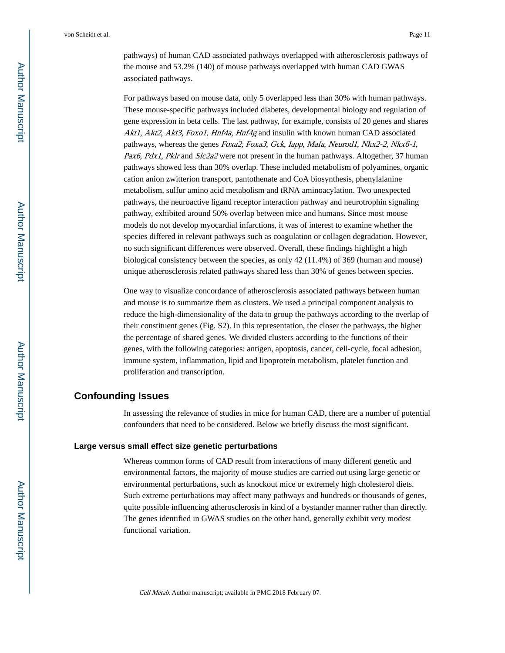pathways) of human CAD associated pathways overlapped with atherosclerosis pathways of the mouse and 53.2% (140) of mouse pathways overlapped with human CAD GWAS associated pathways.

For pathways based on mouse data, only 5 overlapped less than 30% with human pathways. These mouse-specific pathways included diabetes, developmental biology and regulation of gene expression in beta cells. The last pathway, for example, consists of 20 genes and shares Akt1, Akt2, Akt3, Foxo1, Hnf4a, Hnf4g and insulin with known human CAD associated pathways, whereas the genes Foxa2, Foxa3, Gck, Iapp, Mafa, Neurod1, Nkx2-2, Nkx6-1, Pax6, Pdx1, Pklr and Slc2a2 were not present in the human pathways. Altogether, 37 human pathways showed less than 30% overlap. These included metabolism of polyamines, organic cation anion zwitterion transport, pantothenate and CoA biosynthesis, phenylalanine metabolism, sulfur amino acid metabolism and tRNA aminoacylation. Two unexpected pathways, the neuroactive ligand receptor interaction pathway and neurotrophin signaling pathway, exhibited around 50% overlap between mice and humans. Since most mouse models do not develop myocardial infarctions, it was of interest to examine whether the species differed in relevant pathways such as coagulation or collagen degradation. However, no such significant differences were observed. Overall, these findings highlight a high biological consistency between the species, as only 42 (11.4%) of 369 (human and mouse) unique atherosclerosis related pathways shared less than 30% of genes between species.

One way to visualize concordance of atherosclerosis associated pathways between human and mouse is to summarize them as clusters. We used a principal component analysis to reduce the high-dimensionality of the data to group the pathways according to the overlap of their constituent genes (Fig. S2). In this representation, the closer the pathways, the higher the percentage of shared genes. We divided clusters according to the functions of their genes, with the following categories: antigen, apoptosis, cancer, cell-cycle, focal adhesion, immune system, inflammation, lipid and lipoprotein metabolism, platelet function and proliferation and transcription.

## **Confounding Issues**

In assessing the relevance of studies in mice for human CAD, there are a number of potential confounders that need to be considered. Below we briefly discuss the most significant.

#### **Large versus small effect size genetic perturbations**

Whereas common forms of CAD result from interactions of many different genetic and environmental factors, the majority of mouse studies are carried out using large genetic or environmental perturbations, such as knockout mice or extremely high cholesterol diets. Such extreme perturbations may affect many pathways and hundreds or thousands of genes, quite possible influencing atherosclerosis in kind of a bystander manner rather than directly. The genes identified in GWAS studies on the other hand, generally exhibit very modest functional variation.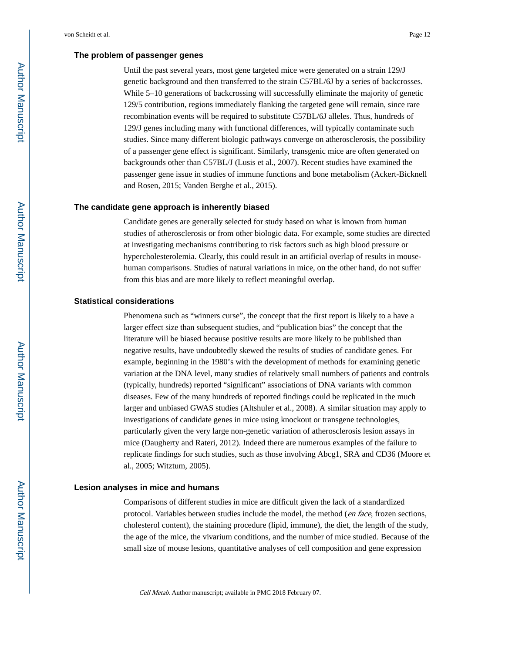#### **The problem of passenger genes**

Until the past several years, most gene targeted mice were generated on a strain 129/J genetic background and then transferred to the strain C57BL/6J by a series of backcrosses. While 5–10 generations of backcrossing will successfully eliminate the majority of genetic 129/5 contribution, regions immediately flanking the targeted gene will remain, since rare recombination events will be required to substitute C57BL/6J alleles. Thus, hundreds of 129/J genes including many with functional differences, will typically contaminate such studies. Since many different biologic pathways converge on atherosclerosis, the possibility of a passenger gene effect is significant. Similarly, transgenic mice are often generated on backgrounds other than C57BL/J (Lusis et al., 2007). Recent studies have examined the passenger gene issue in studies of immune functions and bone metabolism (Ackert-Bicknell and Rosen, 2015; Vanden Berghe et al., 2015).

#### **The candidate gene approach is inherently biased**

Candidate genes are generally selected for study based on what is known from human studies of atherosclerosis or from other biologic data. For example, some studies are directed at investigating mechanisms contributing to risk factors such as high blood pressure or hypercholesterolemia. Clearly, this could result in an artificial overlap of results in mousehuman comparisons. Studies of natural variations in mice, on the other hand, do not suffer from this bias and are more likely to reflect meaningful overlap.

#### **Statistical considerations**

Phenomena such as "winners curse", the concept that the first report is likely to a have a larger effect size than subsequent studies, and "publication bias" the concept that the literature will be biased because positive results are more likely to be published than negative results, have undoubtedly skewed the results of studies of candidate genes. For example, beginning in the 1980's with the development of methods for examining genetic variation at the DNA level, many studies of relatively small numbers of patients and controls (typically, hundreds) reported "significant" associations of DNA variants with common diseases. Few of the many hundreds of reported findings could be replicated in the much larger and unbiased GWAS studies (Altshuler et al., 2008). A similar situation may apply to investigations of candidate genes in mice using knockout or transgene technologies, particularly given the very large non-genetic variation of atherosclerosis lesion assays in mice (Daugherty and Rateri, 2012). Indeed there are numerous examples of the failure to replicate findings for such studies, such as those involving Abcg1, SRA and CD36 (Moore et al., 2005; Witztum, 2005).

#### **Lesion analyses in mice and humans**

Comparisons of different studies in mice are difficult given the lack of a standardized protocol. Variables between studies include the model, the method (en face, frozen sections, cholesterol content), the staining procedure (lipid, immune), the diet, the length of the study, the age of the mice, the vivarium conditions, and the number of mice studied. Because of the small size of mouse lesions, quantitative analyses of cell composition and gene expression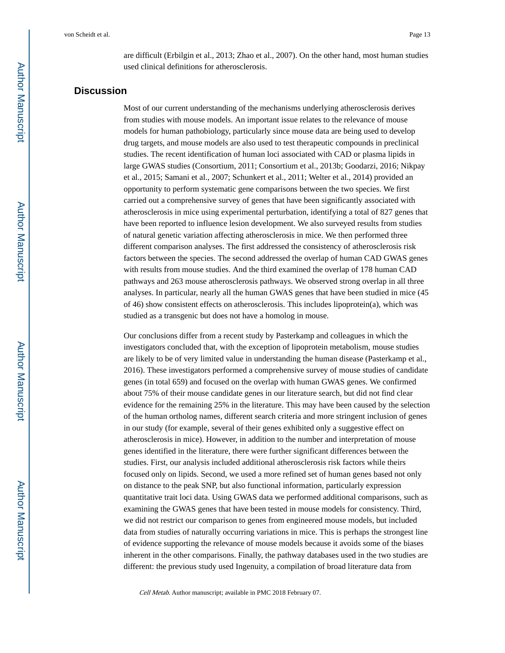are difficult (Erbilgin et al., 2013; Zhao et al., 2007). On the other hand, most human studies used clinical definitions for atherosclerosis.

## **Discussion**

Most of our current understanding of the mechanisms underlying atherosclerosis derives from studies with mouse models. An important issue relates to the relevance of mouse models for human pathobiology, particularly since mouse data are being used to develop drug targets, and mouse models are also used to test therapeutic compounds in preclinical studies. The recent identification of human loci associated with CAD or plasma lipids in large GWAS studies (Consortium, 2011; Consortium et al., 2013b; Goodarzi, 2016; Nikpay et al., 2015; Samani et al., 2007; Schunkert et al., 2011; Welter et al., 2014) provided an opportunity to perform systematic gene comparisons between the two species. We first carried out a comprehensive survey of genes that have been significantly associated with atherosclerosis in mice using experimental perturbation, identifying a total of 827 genes that have been reported to influence lesion development. We also surveyed results from studies of natural genetic variation affecting atherosclerosis in mice. We then performed three different comparison analyses. The first addressed the consistency of atherosclerosis risk factors between the species. The second addressed the overlap of human CAD GWAS genes with results from mouse studies. And the third examined the overlap of 178 human CAD pathways and 263 mouse atherosclerosis pathways. We observed strong overlap in all three analyses. In particular, nearly all the human GWAS genes that have been studied in mice (45 of 46) show consistent effects on atherosclerosis. This includes lipoprotein(a), which was studied as a transgenic but does not have a homolog in mouse.

Our conclusions differ from a recent study by Pasterkamp and colleagues in which the investigators concluded that, with the exception of lipoprotein metabolism, mouse studies are likely to be of very limited value in understanding the human disease (Pasterkamp et al., 2016). These investigators performed a comprehensive survey of mouse studies of candidate genes (in total 659) and focused on the overlap with human GWAS genes. We confirmed about 75% of their mouse candidate genes in our literature search, but did not find clear evidence for the remaining 25% in the literature. This may have been caused by the selection of the human ortholog names, different search criteria and more stringent inclusion of genes in our study (for example, several of their genes exhibited only a suggestive effect on atherosclerosis in mice). However, in addition to the number and interpretation of mouse genes identified in the literature, there were further significant differences between the studies. First, our analysis included additional atherosclerosis risk factors while theirs focused only on lipids. Second, we used a more refined set of human genes based not only on distance to the peak SNP, but also functional information, particularly expression quantitative trait loci data. Using GWAS data we performed additional comparisons, such as examining the GWAS genes that have been tested in mouse models for consistency. Third, we did not restrict our comparison to genes from engineered mouse models, but included data from studies of naturally occurring variations in mice. This is perhaps the strongest line of evidence supporting the relevance of mouse models because it avoids some of the biases inherent in the other comparisons. Finally, the pathway databases used in the two studies are different: the previous study used Ingenuity, a compilation of broad literature data from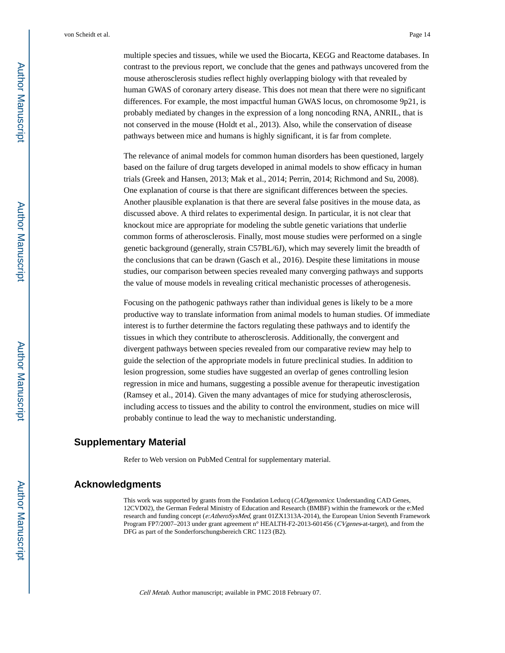multiple species and tissues, while we used the Biocarta, KEGG and Reactome databases. In contrast to the previous report, we conclude that the genes and pathways uncovered from the mouse atherosclerosis studies reflect highly overlapping biology with that revealed by human GWAS of coronary artery disease. This does not mean that there were no significant differences. For example, the most impactful human GWAS locus, on chromosome 9p21, is probably mediated by changes in the expression of a long noncoding RNA, ANRIL, that is not conserved in the mouse (Holdt et al., 2013). Also, while the conservation of disease pathways between mice and humans is highly significant, it is far from complete.

The relevance of animal models for common human disorders has been questioned, largely based on the failure of drug targets developed in animal models to show efficacy in human trials (Greek and Hansen, 2013; Mak et al., 2014; Perrin, 2014; Richmond and Su, 2008). One explanation of course is that there are significant differences between the species. Another plausible explanation is that there are several false positives in the mouse data, as discussed above. A third relates to experimental design. In particular, it is not clear that knockout mice are appropriate for modeling the subtle genetic variations that underlie common forms of atherosclerosis. Finally, most mouse studies were performed on a single genetic background (generally, strain C57BL/6J), which may severely limit the breadth of the conclusions that can be drawn (Gasch et al., 2016). Despite these limitations in mouse studies, our comparison between species revealed many converging pathways and supports the value of mouse models in revealing critical mechanistic processes of atherogenesis.

Focusing on the pathogenic pathways rather than individual genes is likely to be a more productive way to translate information from animal models to human studies. Of immediate interest is to further determine the factors regulating these pathways and to identify the tissues in which they contribute to atherosclerosis. Additionally, the convergent and divergent pathways between species revealed from our comparative review may help to guide the selection of the appropriate models in future preclinical studies. In addition to lesion progression, some studies have suggested an overlap of genes controlling lesion regression in mice and humans, suggesting a possible avenue for therapeutic investigation (Ramsey et al., 2014). Given the many advantages of mice for studying atherosclerosis, including access to tissues and the ability to control the environment, studies on mice will probably continue to lead the way to mechanistic understanding.

## **Supplementary Material**

Refer to Web version on PubMed Central for supplementary material.

## **Acknowledgments**

This work was supported by grants from the Fondation Leducq (CADgenomics: Understanding CAD Genes, 12CVD02), the German Federal Ministry of Education and Research (BMBF) within the framework or the e:Med research and funding concept (e:AtheroSysMed, grant 01ZX1313A-2014), the European Union Seventh Framework Program FP7/2007–2013 under grant agreement n° HEALTH-F2-2013-601456 (CVgenes-at-target), and from the DFG as part of the Sonderforschungsbereich CRC 1123 (B2).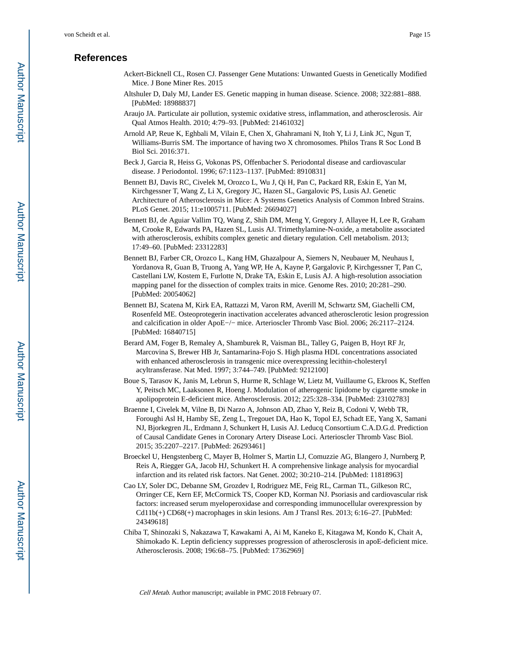## **References**

- Ackert-Bicknell CL, Rosen CJ. Passenger Gene Mutations: Unwanted Guests in Genetically Modified Mice. J Bone Miner Res. 2015
- Altshuler D, Daly MJ, Lander ES. Genetic mapping in human disease. Science. 2008; 322:881–888. [PubMed: 18988837]
- Araujo JA. Particulate air pollution, systemic oxidative stress, inflammation, and atherosclerosis. Air Qual Atmos Health. 2010; 4:79–93. [PubMed: 21461032]
- Arnold AP, Reue K, Eghbali M, Vilain E, Chen X, Ghahramani N, Itoh Y, Li J, Link JC, Ngun T, Williams-Burris SM. The importance of having two X chromosomes. Philos Trans R Soc Lond B Biol Sci. 2016:371.
- Beck J, Garcia R, Heiss G, Vokonas PS, Offenbacher S. Periodontal disease and cardiovascular disease. J Periodontol. 1996; 67:1123–1137. [PubMed: 8910831]
- Bennett BJ, Davis RC, Civelek M, Orozco L, Wu J, Qi H, Pan C, Packard RR, Eskin E, Yan M, Kirchgessner T, Wang Z, Li X, Gregory JC, Hazen SL, Gargalovic PS, Lusis AJ. Genetic Architecture of Atherosclerosis in Mice: A Systems Genetics Analysis of Common Inbred Strains. PLoS Genet. 2015; 11:e1005711. [PubMed: 26694027]
- Bennett BJ, de Aguiar Vallim TQ, Wang Z, Shih DM, Meng Y, Gregory J, Allayee H, Lee R, Graham M, Crooke R, Edwards PA, Hazen SL, Lusis AJ. Trimethylamine-N-oxide, a metabolite associated with atherosclerosis, exhibits complex genetic and dietary regulation. Cell metabolism. 2013; 17:49–60. [PubMed: 23312283]
- Bennett BJ, Farber CR, Orozco L, Kang HM, Ghazalpour A, Siemers N, Neubauer M, Neuhaus I, Yordanova R, Guan B, Truong A, Yang WP, He A, Kayne P, Gargalovic P, Kirchgessner T, Pan C, Castellani LW, Kostem E, Furlotte N, Drake TA, Eskin E, Lusis AJ. A high-resolution association mapping panel for the dissection of complex traits in mice. Genome Res. 2010; 20:281–290. [PubMed: 20054062]
- Bennett BJ, Scatena M, Kirk EA, Rattazzi M, Varon RM, Averill M, Schwartz SM, Giachelli CM, Rosenfeld ME. Osteoprotegerin inactivation accelerates advanced atherosclerotic lesion progression and calcification in older ApoE−/− mice. Arterioscler Thromb Vasc Biol. 2006; 26:2117–2124. [PubMed: 16840715]
- Berard AM, Foger B, Remaley A, Shamburek R, Vaisman BL, Talley G, Paigen B, Hoyt RF Jr, Marcovina S, Brewer HB Jr, Santamarina-Fojo S. High plasma HDL concentrations associated with enhanced atherosclerosis in transgenic mice overexpressing lecithin-cholesteryl acyltransferase. Nat Med. 1997; 3:744–749. [PubMed: 9212100]
- Boue S, Tarasov K, Janis M, Lebrun S, Hurme R, Schlage W, Lietz M, Vuillaume G, Ekroos K, Steffen Y, Peitsch MC, Laaksonen R, Hoeng J. Modulation of atherogenic lipidome by cigarette smoke in apolipoprotein E-deficient mice. Atherosclerosis. 2012; 225:328–334. [PubMed: 23102783]
- Braenne I, Civelek M, Vilne B, Di Narzo A, Johnson AD, Zhao Y, Reiz B, Codoni V, Webb TR, Foroughi Asl H, Hamby SE, Zeng L, Tregouet DA, Hao K, Topol EJ, Schadt EE, Yang X, Samani NJ, Bjorkegren JL, Erdmann J, Schunkert H, Lusis AJ. Leducq Consortium C.A.D.G.d. Prediction of Causal Candidate Genes in Coronary Artery Disease Loci. Arterioscler Thromb Vasc Biol. 2015; 35:2207–2217. [PubMed: 26293461]
- Broeckel U, Hengstenberg C, Mayer B, Holmer S, Martin LJ, Comuzzie AG, Blangero J, Nurnberg P, Reis A, Riegger GA, Jacob HJ, Schunkert H. A comprehensive linkage analysis for myocardial infarction and its related risk factors. Nat Genet. 2002; 30:210–214. [PubMed: 11818963]
- Cao LY, Soler DC, Debanne SM, Grozdev I, Rodriguez ME, Feig RL, Carman TL, Gilkeson RC, Orringer CE, Kern EF, McCormick TS, Cooper KD, Korman NJ. Psoriasis and cardiovascular risk factors: increased serum myeloperoxidase and corresponding immunocellular overexpression by Cd11b(+) CD68(+) macrophages in skin lesions. Am J Transl Res. 2013; 6:16–27. [PubMed: 24349618]
- Chiba T, Shinozaki S, Nakazawa T, Kawakami A, Ai M, Kaneko E, Kitagawa M, Kondo K, Chait A, Shimokado K. Leptin deficiency suppresses progression of atherosclerosis in apoE-deficient mice. Atherosclerosis. 2008; 196:68–75. [PubMed: 17362969]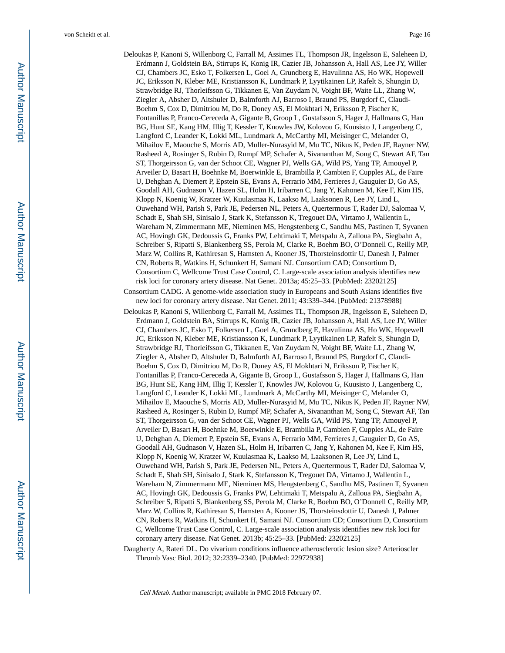- Deloukas P, Kanoni S, Willenborg C, Farrall M, Assimes TL, Thompson JR, Ingelsson E, Saleheen D, Erdmann J, Goldstein BA, Stirrups K, Konig IR, Cazier JB, Johansson A, Hall AS, Lee JY, Willer CJ, Chambers JC, Esko T, Folkersen L, Goel A, Grundberg E, Havulinna AS, Ho WK, Hopewell JC, Eriksson N, Kleber ME, Kristiansson K, Lundmark P, Lyytikainen LP, Rafelt S, Shungin D, Strawbridge RJ, Thorleifsson G, Tikkanen E, Van Zuydam N, Voight BF, Waite LL, Zhang W, Ziegler A, Absher D, Altshuler D, Balmforth AJ, Barroso I, Braund PS, Burgdorf C, Claudi-Boehm S, Cox D, Dimitriou M, Do R, Doney AS, El Mokhtari N, Eriksson P, Fischer K, Fontanillas P, Franco-Cereceda A, Gigante B, Groop L, Gustafsson S, Hager J, Hallmans G, Han BG, Hunt SE, Kang HM, Illig T, Kessler T, Knowles JW, Kolovou G, Kuusisto J, Langenberg C, Langford C, Leander K, Lokki ML, Lundmark A, McCarthy MI, Meisinger C, Melander O, Mihailov E, Maouche S, Morris AD, Muller-Nurasyid M, Mu TC, Nikus K, Peden JF, Rayner NW, Rasheed A, Rosinger S, Rubin D, Rumpf MP, Schafer A, Sivananthan M, Song C, Stewart AF, Tan ST, Thorgeirsson G, van der Schoot CE, Wagner PJ, Wells GA, Wild PS, Yang TP, Amouyel P, Arveiler D, Basart H, Boehnke M, Boerwinkle E, Brambilla P, Cambien F, Cupples AL, de Faire U, Dehghan A, Diemert P, Epstein SE, Evans A, Ferrario MM, Ferrieres J, Gauguier D, Go AS, Goodall AH, Gudnason V, Hazen SL, Holm H, Iribarren C, Jang Y, Kahonen M, Kee F, Kim HS, Klopp N, Koenig W, Kratzer W, Kuulasmaa K, Laakso M, Laaksonen R, Lee JY, Lind L, Ouwehand WH, Parish S, Park JE, Pedersen NL, Peters A, Quertermous T, Rader DJ, Salomaa V, Schadt E, Shah SH, Sinisalo J, Stark K, Stefansson K, Tregouet DA, Virtamo J, Wallentin L, Wareham N, Zimmermann ME, Nieminen MS, Hengstenberg C, Sandhu MS, Pastinen T, Syvanen AC, Hovingh GK, Dedoussis G, Franks PW, Lehtimaki T, Metspalu A, Zalloua PA, Siegbahn A, Schreiber S, Ripatti S, Blankenberg SS, Perola M, Clarke R, Boehm BO, O'Donnell C, Reilly MP, Marz W, Collins R, Kathiresan S, Hamsten A, Kooner JS, Thorsteinsdottir U, Danesh J, Palmer CN, Roberts R, Watkins H, Schunkert H, Samani NJ. Consortium CAD; Consortium D, Consortium C, Wellcome Trust Case Control, C. Large-scale association analysis identifies new risk loci for coronary artery disease. Nat Genet. 2013a; 45:25–33. [PubMed: 23202125] Consortium CADG. A genome-wide association study in Europeans and South Asians identifies five
- new loci for coronary artery disease. Nat Genet. 2011; 43:339–344. [PubMed: 21378988] Deloukas P, Kanoni S, Willenborg C, Farrall M, Assimes TL, Thompson JR, Ingelsson E, Saleheen D,
	- Erdmann J, Goldstein BA, Stirrups K, Konig IR, Cazier JB, Johansson A, Hall AS, Lee JY, Willer CJ, Chambers JC, Esko T, Folkersen L, Goel A, Grundberg E, Havulinna AS, Ho WK, Hopewell JC, Eriksson N, Kleber ME, Kristiansson K, Lundmark P, Lyytikainen LP, Rafelt S, Shungin D, Strawbridge RJ, Thorleifsson G, Tikkanen E, Van Zuydam N, Voight BF, Waite LL, Zhang W, Ziegler A, Absher D, Altshuler D, Balmforth AJ, Barroso I, Braund PS, Burgdorf C, Claudi-Boehm S, Cox D, Dimitriou M, Do R, Doney AS, El Mokhtari N, Eriksson P, Fischer K, Fontanillas P, Franco-Cereceda A, Gigante B, Groop L, Gustafsson S, Hager J, Hallmans G, Han BG, Hunt SE, Kang HM, Illig T, Kessler T, Knowles JW, Kolovou G, Kuusisto J, Langenberg C, Langford C, Leander K, Lokki ML, Lundmark A, McCarthy MI, Meisinger C, Melander O, Mihailov E, Maouche S, Morris AD, Muller-Nurasyid M, Mu TC, Nikus K, Peden JF, Rayner NW, Rasheed A, Rosinger S, Rubin D, Rumpf MP, Schafer A, Sivananthan M, Song C, Stewart AF, Tan ST, Thorgeirsson G, van der Schoot CE, Wagner PJ, Wells GA, Wild PS, Yang TP, Amouyel P, Arveiler D, Basart H, Boehnke M, Boerwinkle E, Brambilla P, Cambien F, Cupples AL, de Faire U, Dehghan A, Diemert P, Epstein SE, Evans A, Ferrario MM, Ferrieres J, Gauguier D, Go AS, Goodall AH, Gudnason V, Hazen SL, Holm H, Iribarren C, Jang Y, Kahonen M, Kee F, Kim HS, Klopp N, Koenig W, Kratzer W, Kuulasmaa K, Laakso M, Laaksonen R, Lee JY, Lind L, Ouwehand WH, Parish S, Park JE, Pedersen NL, Peters A, Quertermous T, Rader DJ, Salomaa V, Schadt E, Shah SH, Sinisalo J, Stark K, Stefansson K, Tregouet DA, Virtamo J, Wallentin L, Wareham N, Zimmermann ME, Nieminen MS, Hengstenberg C, Sandhu MS, Pastinen T, Syvanen AC, Hovingh GK, Dedoussis G, Franks PW, Lehtimaki T, Metspalu A, Zalloua PA, Siegbahn A, Schreiber S, Ripatti S, Blankenberg SS, Perola M, Clarke R, Boehm BO, O'Donnell C, Reilly MP, Marz W, Collins R, Kathiresan S, Hamsten A, Kooner JS, Thorsteinsdottir U, Danesh J, Palmer CN, Roberts R, Watkins H, Schunkert H, Samani NJ. Consortium CD; Consortium D, Consortium C, Wellcome Trust Case Control, C. Large-scale association analysis identifies new risk loci for coronary artery disease. Nat Genet. 2013b; 45:25–33. [PubMed: 23202125]
- Daugherty A, Rateri DL. Do vivarium conditions influence atherosclerotic lesion size? Arterioscler Thromb Vasc Biol. 2012; 32:2339–2340. [PubMed: 22972938]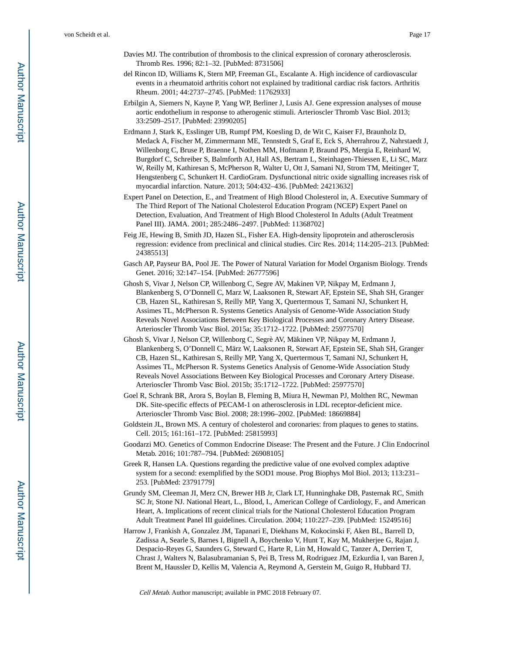- Davies MJ. The contribution of thrombosis to the clinical expression of coronary atherosclerosis. Thromb Res. 1996; 82:1–32. [PubMed: 8731506]
- del Rincon ID, Williams K, Stern MP, Freeman GL, Escalante A. High incidence of cardiovascular events in a rheumatoid arthritis cohort not explained by traditional cardiac risk factors. Arthritis Rheum. 2001; 44:2737–2745. [PubMed: 11762933]
- Erbilgin A, Siemers N, Kayne P, Yang WP, Berliner J, Lusis AJ. Gene expression analyses of mouse aortic endothelium in response to atherogenic stimuli. Arterioscler Thromb Vasc Biol. 2013; 33:2509–2517. [PubMed: 23990205]
- Erdmann J, Stark K, Esslinger UB, Rumpf PM, Koesling D, de Wit C, Kaiser FJ, Braunholz D, Medack A, Fischer M, Zimmermann ME, Tennstedt S, Graf E, Eck S, Aherrahrou Z, Nahrstaedt J, Willenborg C, Bruse P, Braenne I, Nothen MM, Hofmann P, Braund PS, Mergia E, Reinhard W, Burgdorf C, Schreiber S, Balmforth AJ, Hall AS, Bertram L, Steinhagen-Thiessen E, Li SC, Marz W, Reilly M, Kathiresan S, McPherson R, Walter U, Ott J, Samani NJ, Strom TM, Meitinger T, Hengstenberg C, Schunkert H. CardioGram. Dysfunctional nitric oxide signalling increases risk of myocardial infarction. Nature. 2013; 504:432–436. [PubMed: 24213632]
- Expert Panel on Detection, E., and Treatment of High Blood Cholesterol in, A. Executive Summary of The Third Report of The National Cholesterol Education Program (NCEP) Expert Panel on Detection, Evaluation, And Treatment of High Blood Cholesterol In Adults (Adult Treatment Panel III). JAMA. 2001; 285:2486–2497. [PubMed: 11368702]
- Feig JE, Hewing B, Smith JD, Hazen SL, Fisher EA. High-density lipoprotein and atherosclerosis regression: evidence from preclinical and clinical studies. Circ Res. 2014; 114:205–213. [PubMed: 24385513]
- Gasch AP, Payseur BA, Pool JE. The Power of Natural Variation for Model Organism Biology. Trends Genet. 2016; 32:147–154. [PubMed: 26777596]
- Ghosh S, Vivar J, Nelson CP, Willenborg C, Segre AV, Makinen VP, Nikpay M, Erdmann J, Blankenberg S, O'Donnell C, Marz W, Laaksonen R, Stewart AF, Epstein SE, Shah SH, Granger CB, Hazen SL, Kathiresan S, Reilly MP, Yang X, Quertermous T, Samani NJ, Schunkert H, Assimes TL, McPherson R. Systems Genetics Analysis of Genome-Wide Association Study Reveals Novel Associations Between Key Biological Processes and Coronary Artery Disease. Arterioscler Thromb Vasc Biol. 2015a; 35:1712–1722. [PubMed: 25977570]
- Ghosh S, Vivar J, Nelson CP, Willenborg C, Segrè AV, Mäkinen VP, Nikpay M, Erdmann J, Blankenberg S, O'Donnell C, März W, Laaksonen R, Stewart AF, Epstein SE, Shah SH, Granger CB, Hazen SL, Kathiresan S, Reilly MP, Yang X, Quertermous T, Samani NJ, Schunkert H, Assimes TL, McPherson R. Systems Genetics Analysis of Genome-Wide Association Study Reveals Novel Associations Between Key Biological Processes and Coronary Artery Disease. Arterioscler Thromb Vasc Biol. 2015b; 35:1712–1722. [PubMed: 25977570]
- Goel R, Schrank BR, Arora S, Boylan B, Fleming B, Miura H, Newman PJ, Molthen RC, Newman DK. Site-specific effects of PECAM-1 on atherosclerosis in LDL receptor-deficient mice. Arterioscler Thromb Vasc Biol. 2008; 28:1996–2002. [PubMed: 18669884]
- Goldstein JL, Brown MS. A century of cholesterol and coronaries: from plaques to genes to statins. Cell. 2015; 161:161–172. [PubMed: 25815993]
- Goodarzi MO. Genetics of Common Endocrine Disease: The Present and the Future. J Clin Endocrinol Metab. 2016; 101:787–794. [PubMed: 26908105]
- Greek R, Hansen LA. Questions regarding the predictive value of one evolved complex adaptive system for a second: exemplified by the SOD1 mouse. Prog Biophys Mol Biol. 2013; 113:231– 253. [PubMed: 23791779]
- Grundy SM, Cleeman JI, Merz CN, Brewer HB Jr, Clark LT, Hunninghake DB, Pasternak RC, Smith SC Jr, Stone NJ. National Heart, L., Blood, I., American College of Cardiology, F., and American Heart, A. Implications of recent clinical trials for the National Cholesterol Education Program Adult Treatment Panel III guidelines. Circulation. 2004; 110:227–239. [PubMed: 15249516]
- Harrow J, Frankish A, Gonzalez JM, Tapanari E, Diekhans M, Kokocinski F, Aken BL, Barrell D, Zadissa A, Searle S, Barnes I, Bignell A, Boychenko V, Hunt T, Kay M, Mukherjee G, Rajan J, Despacio-Reyes G, Saunders G, Steward C, Harte R, Lin M, Howald C, Tanzer A, Derrien T, Chrast J, Walters N, Balasubramanian S, Pei B, Tress M, Rodriguez JM, Ezkurdia I, van Baren J, Brent M, Haussler D, Kellis M, Valencia A, Reymond A, Gerstein M, Guigo R, Hubbard TJ.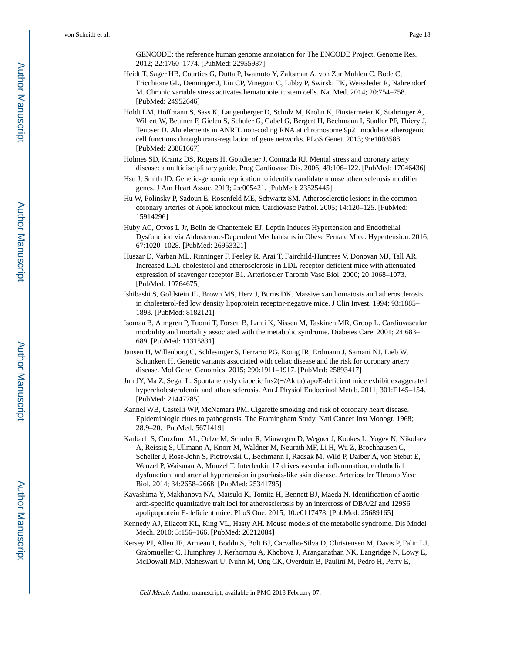GENCODE: the reference human genome annotation for The ENCODE Project. Genome Res. 2012; 22:1760–1774. [PubMed: 22955987]

- Heidt T, Sager HB, Courties G, Dutta P, Iwamoto Y, Zaltsman A, von Zur Muhlen C, Bode C, Fricchione GL, Denninger J, Lin CP, Vinegoni C, Libby P, Swirski FK, Weissleder R, Nahrendorf M. Chronic variable stress activates hematopoietic stem cells. Nat Med. 2014; 20:754–758. [PubMed: 24952646]
- Holdt LM, Hoffmann S, Sass K, Langenberger D, Scholz M, Krohn K, Finstermeier K, Stahringer A, Wilfert W, Beutner F, Gielen S, Schuler G, Gabel G, Bergert H, Bechmann I, Stadler PF, Thiery J, Teupser D. Alu elements in ANRIL non-coding RNA at chromosome 9p21 modulate atherogenic cell functions through trans-regulation of gene networks. PLoS Genet. 2013; 9:e1003588. [PubMed: 23861667]
- Holmes SD, Krantz DS, Rogers H, Gottdiener J, Contrada RJ. Mental stress and coronary artery disease: a multidisciplinary guide. Prog Cardiovasc Dis. 2006; 49:106–122. [PubMed: 17046436]
- Hsu J, Smith JD. Genetic-genomic replication to identify candidate mouse atherosclerosis modifier genes. J Am Heart Assoc. 2013; 2:e005421. [PubMed: 23525445]
- Hu W, Polinsky P, Sadoun E, Rosenfeld ME, Schwartz SM. Atherosclerotic lesions in the common coronary arteries of ApoE knockout mice. Cardiovasc Pathol. 2005; 14:120–125. [PubMed: 15914296]
- Huby AC, Otvos L Jr, Belin de Chantemele EJ. Leptin Induces Hypertension and Endothelial Dysfunction via Aldosterone-Dependent Mechanisms in Obese Female Mice. Hypertension. 2016; 67:1020–1028. [PubMed: 26953321]
- Huszar D, Varban ML, Rinninger F, Feeley R, Arai T, Fairchild-Huntress V, Donovan MJ, Tall AR. Increased LDL cholesterol and atherosclerosis in LDL receptor-deficient mice with attenuated expression of scavenger receptor B1. Arterioscler Thromb Vasc Biol. 2000; 20:1068–1073. [PubMed: 10764675]
- Ishibashi S, Goldstein JL, Brown MS, Herz J, Burns DK. Massive xanthomatosis and atherosclerosis in cholesterol-fed low density lipoprotein receptor-negative mice. J Clin Invest. 1994; 93:1885– 1893. [PubMed: 8182121]
- Isomaa B, Almgren P, Tuomi T, Forsen B, Lahti K, Nissen M, Taskinen MR, Groop L. Cardiovascular morbidity and mortality associated with the metabolic syndrome. Diabetes Care. 2001; 24:683– 689. [PubMed: 11315831]
- Jansen H, Willenborg C, Schlesinger S, Ferrario PG, Konig IR, Erdmann J, Samani NJ, Lieb W, Schunkert H. Genetic variants associated with celiac disease and the risk for coronary artery disease. Mol Genet Genomics. 2015; 290:1911–1917. [PubMed: 25893417]
- Jun JY, Ma Z, Segar L. Spontaneously diabetic Ins2(+/Akita):apoE-deficient mice exhibit exaggerated hypercholesterolemia and atherosclerosis. Am J Physiol Endocrinol Metab. 2011; 301:E145–154. [PubMed: 21447785]
- Kannel WB, Castelli WP, McNamara PM. Cigarette smoking and risk of coronary heart disease. Epidemiologic clues to pathogensis. The Framingham Study. Natl Cancer Inst Monogr. 1968; 28:9–20. [PubMed: 5671419]
- Karbach S, Croxford AL, Oelze M, Schuler R, Minwegen D, Wegner J, Koukes L, Yogev N, Nikolaev A, Reissig S, Ullmann A, Knorr M, Waldner M, Neurath MF, Li H, Wu Z, Brochhausen C, Scheller J, Rose-John S, Piotrowski C, Bechmann I, Radsak M, Wild P, Daiber A, von Stebut E, Wenzel P, Waisman A, Munzel T. Interleukin 17 drives vascular inflammation, endothelial dysfunction, and arterial hypertension in psoriasis-like skin disease. Arterioscler Thromb Vasc Biol. 2014; 34:2658–2668. [PubMed: 25341795]
- Kayashima Y, Makhanova NA, Matsuki K, Tomita H, Bennett BJ, Maeda N. Identification of aortic arch-specific quantitative trait loci for atherosclerosis by an intercross of DBA/2J and 129S6 apolipoprotein E-deficient mice. PLoS One. 2015; 10:e0117478. [PubMed: 25689165]
- Kennedy AJ, Ellacott KL, King VL, Hasty AH. Mouse models of the metabolic syndrome. Dis Model Mech. 2010; 3:156–166. [PubMed: 20212084]
- Kersey PJ, Allen JE, Armean I, Boddu S, Bolt BJ, Carvalho-Silva D, Christensen M, Davis P, Falin LJ, Grabmueller C, Humphrey J, Kerhornou A, Khobova J, Aranganathan NK, Langridge N, Lowy E, McDowall MD, Maheswari U, Nuhn M, Ong CK, Overduin B, Paulini M, Pedro H, Perry E,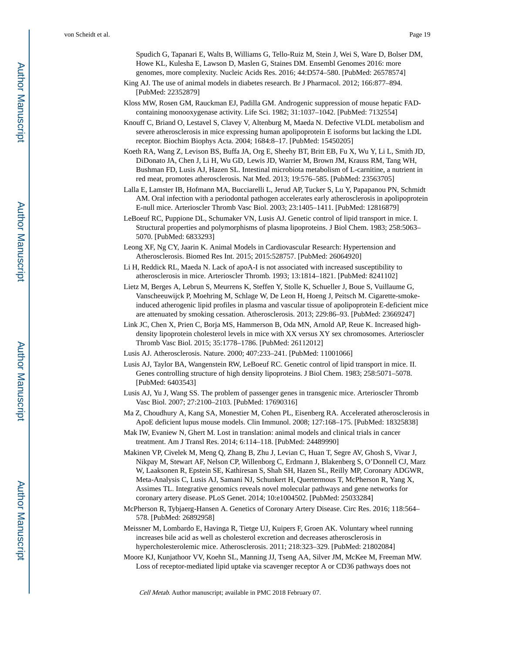Spudich G, Tapanari E, Walts B, Williams G, Tello-Ruiz M, Stein J, Wei S, Ware D, Bolser DM, Howe KL, Kulesha E, Lawson D, Maslen G, Staines DM. Ensembl Genomes 2016: more genomes, more complexity. Nucleic Acids Res. 2016; 44:D574–580. [PubMed: 26578574]

- King AJ. The use of animal models in diabetes research. Br J Pharmacol. 2012; 166:877–894. [PubMed: 22352879]
- Kloss MW, Rosen GM, Rauckman EJ, Padilla GM. Androgenic suppression of mouse hepatic FADcontaining monooxygenase activity. Life Sci. 1982; 31:1037–1042. [PubMed: 7132554]
- Knouff C, Briand O, Lestavel S, Clavey V, Altenburg M, Maeda N. Defective VLDL metabolism and severe atherosclerosis in mice expressing human apolipoprotein E isoforms but lacking the LDL receptor. Biochim Biophys Acta. 2004; 1684:8–17. [PubMed: 15450205]
- Koeth RA, Wang Z, Levison BS, Buffa JA, Org E, Sheehy BT, Britt EB, Fu X, Wu Y, Li L, Smith JD, DiDonato JA, Chen J, Li H, Wu GD, Lewis JD, Warrier M, Brown JM, Krauss RM, Tang WH, Bushman FD, Lusis AJ, Hazen SL. Intestinal microbiota metabolism of L-carnitine, a nutrient in red meat, promotes atherosclerosis. Nat Med. 2013; 19:576–585. [PubMed: 23563705]
- Lalla E, Lamster IB, Hofmann MA, Bucciarelli L, Jerud AP, Tucker S, Lu Y, Papapanou PN, Schmidt AM. Oral infection with a periodontal pathogen accelerates early atherosclerosis in apolipoprotein E-null mice. Arterioscler Thromb Vasc Biol. 2003; 23:1405–1411. [PubMed: 12816879]
- LeBoeuf RC, Puppione DL, Schumaker VN, Lusis AJ. Genetic control of lipid transport in mice. I. Structural properties and polymorphisms of plasma lipoproteins. J Biol Chem. 1983; 258:5063– 5070. [PubMed: 6833293]
- Leong XF, Ng CY, Jaarin K. Animal Models in Cardiovascular Research: Hypertension and Atherosclerosis. Biomed Res Int. 2015; 2015:528757. [PubMed: 26064920]
- Li H, Reddick RL, Maeda N. Lack of apoA-I is not associated with increased susceptibility to atherosclerosis in mice. Arterioscler Thromb. 1993; 13:1814–1821. [PubMed: 8241102]
- Lietz M, Berges A, Lebrun S, Meurrens K, Steffen Y, Stolle K, Schueller J, Boue S, Vuillaume G, Vanscheeuwijck P, Moehring M, Schlage W, De Leon H, Hoeng J, Peitsch M. Cigarette-smokeinduced atherogenic lipid profiles in plasma and vascular tissue of apolipoprotein E-deficient mice are attenuated by smoking cessation. Atherosclerosis. 2013; 229:86–93. [PubMed: 23669247]
- Link JC, Chen X, Prien C, Borja MS, Hammerson B, Oda MN, Arnold AP, Reue K. Increased highdensity lipoprotein cholesterol levels in mice with XX versus XY sex chromosomes. Arterioscler Thromb Vasc Biol. 2015; 35:1778–1786. [PubMed: 26112012]
- Lusis AJ. Atherosclerosis. Nature. 2000; 407:233–241. [PubMed: 11001066]
- Lusis AJ, Taylor BA, Wangenstein RW, LeBoeuf RC. Genetic control of lipid transport in mice. II. Genes controlling structure of high density lipoproteins. J Biol Chem. 1983; 258:5071–5078. [PubMed: 6403543]
- Lusis AJ, Yu J, Wang SS. The problem of passenger genes in transgenic mice. Arterioscler Thromb Vasc Biol. 2007; 27:2100–2103. [PubMed: 17690316]
- Ma Z, Choudhury A, Kang SA, Monestier M, Cohen PL, Eisenberg RA. Accelerated atherosclerosis in ApoE deficient lupus mouse models. Clin Immunol. 2008; 127:168–175. [PubMed: 18325838]
- Mak IW, Evaniew N, Ghert M. Lost in translation: animal models and clinical trials in cancer treatment. Am J Transl Res. 2014; 6:114–118. [PubMed: 24489990]
- Makinen VP, Civelek M, Meng Q, Zhang B, Zhu J, Levian C, Huan T, Segre AV, Ghosh S, Vivar J, Nikpay M, Stewart AF, Nelson CP, Willenborg C, Erdmann J, Blakenberg S, O'Donnell CJ, Marz W, Laaksonen R, Epstein SE, Kathiresan S, Shah SH, Hazen SL, Reilly MP, Coronary ADGWR, Meta-Analysis C, Lusis AJ, Samani NJ, Schunkert H, Quertermous T, McPherson R, Yang X, Assimes TL. Integrative genomics reveals novel molecular pathways and gene networks for coronary artery disease. PLoS Genet. 2014; 10:e1004502. [PubMed: 25033284]
- McPherson R, Tybjaerg-Hansen A. Genetics of Coronary Artery Disease. Circ Res. 2016; 118:564– 578. [PubMed: 26892958]
- Meissner M, Lombardo E, Havinga R, Tietge UJ, Kuipers F, Groen AK. Voluntary wheel running increases bile acid as well as cholesterol excretion and decreases atherosclerosis in hypercholesterolemic mice. Atherosclerosis. 2011; 218:323–329. [PubMed: 21802084]
- Moore KJ, Kunjathoor VV, Koehn SL, Manning JJ, Tseng AA, Silver JM, McKee M, Freeman MW. Loss of receptor-mediated lipid uptake via scavenger receptor A or CD36 pathways does not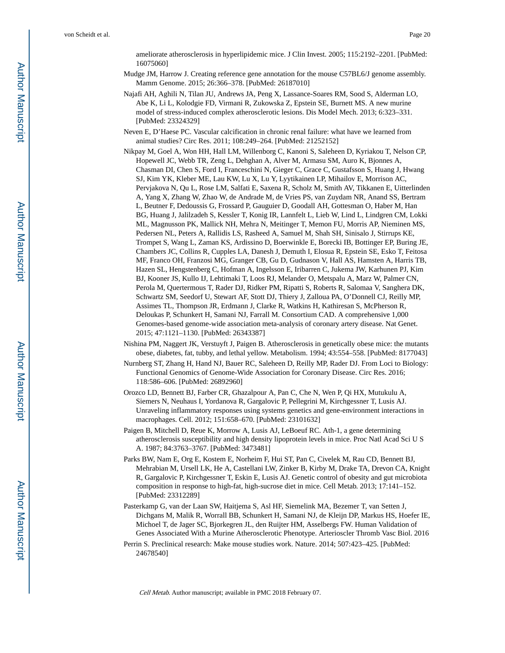ameliorate atherosclerosis in hyperlipidemic mice. J Clin Invest. 2005; 115:2192–2201. [PubMed: 16075060]

- Mudge JM, Harrow J. Creating reference gene annotation for the mouse C57BL6/J genome assembly. Mamm Genome. 2015; 26:366–378. [PubMed: 26187010]
- Najafi AH, Aghili N, Tilan JU, Andrews JA, Peng X, Lassance-Soares RM, Sood S, Alderman LO, Abe K, Li L, Kolodgie FD, Virmani R, Zukowska Z, Epstein SE, Burnett MS. A new murine model of stress-induced complex atherosclerotic lesions. Dis Model Mech. 2013; 6:323–331. [PubMed: 23324329]
- Neven E, D'Haese PC. Vascular calcification in chronic renal failure: what have we learned from animal studies? Circ Res. 2011; 108:249–264. [PubMed: 21252152]
- Nikpay M, Goel A, Won HH, Hall LM, Willenborg C, Kanoni S, Saleheen D, Kyriakou T, Nelson CP, Hopewell JC, Webb TR, Zeng L, Dehghan A, Alver M, Armasu SM, Auro K, Bjonnes A, Chasman DI, Chen S, Ford I, Franceschini N, Gieger C, Grace C, Gustafsson S, Huang J, Hwang SJ, Kim YK, Kleber ME, Lau KW, Lu X, Lu Y, Lyytikainen LP, Mihailov E, Morrison AC, Pervjakova N, Qu L, Rose LM, Salfati E, Saxena R, Scholz M, Smith AV, Tikkanen E, Uitterlinden A, Yang X, Zhang W, Zhao W, de Andrade M, de Vries PS, van Zuydam NR, Anand SS, Bertram L, Beutner F, Dedoussis G, Frossard P, Gauguier D, Goodall AH, Gottesman O, Haber M, Han BG, Huang J, Jalilzadeh S, Kessler T, Konig IR, Lannfelt L, Lieb W, Lind L, Lindgren CM, Lokki ML, Magnusson PK, Mallick NH, Mehra N, Meitinger T, Memon FU, Morris AP, Nieminen MS, Pedersen NL, Peters A, Rallidis LS, Rasheed A, Samuel M, Shah SH, Sinisalo J, Stirrups KE, Trompet S, Wang L, Zaman KS, Ardissino D, Boerwinkle E, Borecki IB, Bottinger EP, Buring JE, Chambers JC, Collins R, Cupples LA, Danesh J, Demuth I, Elosua R, Epstein SE, Esko T, Feitosa MF, Franco OH, Franzosi MG, Granger CB, Gu D, Gudnason V, Hall AS, Hamsten A, Harris TB, Hazen SL, Hengstenberg C, Hofman A, Ingelsson E, Iribarren C, Jukema JW, Karhunen PJ, Kim BJ, Kooner JS, Kullo IJ, Lehtimaki T, Loos RJ, Melander O, Metspalu A, Marz W, Palmer CN, Perola M, Quertermous T, Rader DJ, Ridker PM, Ripatti S, Roberts R, Salomaa V, Sanghera DK, Schwartz SM, Seedorf U, Stewart AF, Stott DJ, Thiery J, Zalloua PA, O'Donnell CJ, Reilly MP, Assimes TL, Thompson JR, Erdmann J, Clarke R, Watkins H, Kathiresan S, McPherson R, Deloukas P, Schunkert H, Samani NJ, Farrall M. Consortium CAD. A comprehensive 1,000 Genomes-based genome-wide association meta-analysis of coronary artery disease. Nat Genet. 2015; 47:1121–1130. [PubMed: 26343387]
- Nishina PM, Naggert JK, Verstuyft J, Paigen B. Atherosclerosis in genetically obese mice: the mutants obese, diabetes, fat, tubby, and lethal yellow. Metabolism. 1994; 43:554–558. [PubMed: 8177043]
- Nurnberg ST, Zhang H, Hand NJ, Bauer RC, Saleheen D, Reilly MP, Rader DJ. From Loci to Biology: Functional Genomics of Genome-Wide Association for Coronary Disease. Circ Res. 2016; 118:586–606. [PubMed: 26892960]
- Orozco LD, Bennett BJ, Farber CR, Ghazalpour A, Pan C, Che N, Wen P, Qi HX, Mutukulu A, Siemers N, Neuhaus I, Yordanova R, Gargalovic P, Pellegrini M, Kirchgessner T, Lusis AJ. Unraveling inflammatory responses using systems genetics and gene-environment interactions in macrophages. Cell. 2012; 151:658–670. [PubMed: 23101632]
- Paigen B, Mitchell D, Reue K, Morrow A, Lusis AJ, LeBoeuf RC. Ath-1, a gene determining atherosclerosis susceptibility and high density lipoprotein levels in mice. Proc Natl Acad Sci U S A. 1987; 84:3763–3767. [PubMed: 3473481]
- Parks BW, Nam E, Org E, Kostem E, Norheim F, Hui ST, Pan C, Civelek M, Rau CD, Bennett BJ, Mehrabian M, Ursell LK, He A, Castellani LW, Zinker B, Kirby M, Drake TA, Drevon CA, Knight R, Gargalovic P, Kirchgessner T, Eskin E, Lusis AJ. Genetic control of obesity and gut microbiota composition in response to high-fat, high-sucrose diet in mice. Cell Metab. 2013; 17:141–152. [PubMed: 23312289]
- Pasterkamp G, van der Laan SW, Haitjema S, Asl HF, Siemelink MA, Bezemer T, van Setten J, Dichgans M, Malik R, Worrall BB, Schunkert H, Samani NJ, de Kleijn DP, Markus HS, Hoefer IE, Michoel T, de Jager SC, Bjorkegren JL, den Ruijter HM, Asselbergs FW. Human Validation of Genes Associated With a Murine Atherosclerotic Phenotype. Arterioscler Thromb Vasc Biol. 2016
- Perrin S. Preclinical research: Make mouse studies work. Nature. 2014; 507:423–425. [PubMed: 24678540]

 Author ManuscriptAuthor Manuscript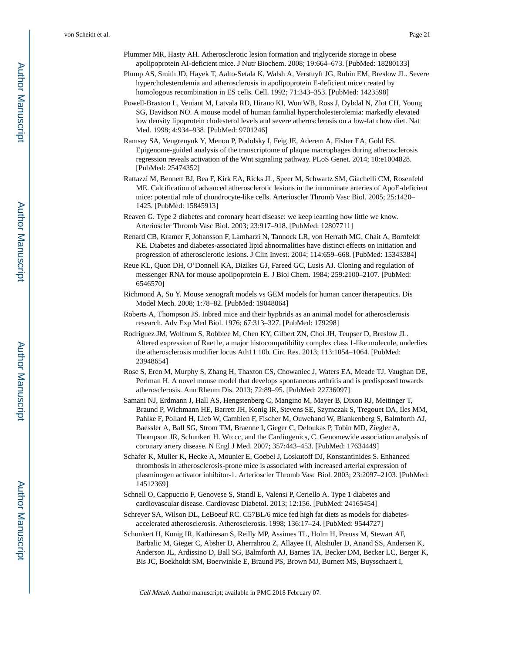- Plummer MR, Hasty AH. Atherosclerotic lesion formation and triglyceride storage in obese apolipoprotein AI-deficient mice. J Nutr Biochem. 2008; 19:664–673. [PubMed: 18280133]
- Plump AS, Smith JD, Hayek T, Aalto-Setala K, Walsh A, Verstuyft JG, Rubin EM, Breslow JL. Severe hypercholesterolemia and atherosclerosis in apolipoprotein E-deficient mice created by homologous recombination in ES cells. Cell. 1992; 71:343-353. [PubMed: 1423598]
- Powell-Braxton L, Veniant M, Latvala RD, Hirano KI, Won WB, Ross J, Dybdal N, Zlot CH, Young SG, Davidson NO. A mouse model of human familial hypercholesterolemia: markedly elevated low density lipoprotein cholesterol levels and severe atherosclerosis on a low-fat chow diet. Nat Med. 1998; 4:934–938. [PubMed: 9701246]
- Ramsey SA, Vengrenyuk Y, Menon P, Podolsky I, Feig JE, Aderem A, Fisher EA, Gold ES. Epigenome-guided analysis of the transcriptome of plaque macrophages during atherosclerosis regression reveals activation of the Wnt signaling pathway. PLoS Genet. 2014; 10:e1004828. [PubMed: 25474352]
- Rattazzi M, Bennett BJ, Bea F, Kirk EA, Ricks JL, Speer M, Schwartz SM, Giachelli CM, Rosenfeld ME. Calcification of advanced atherosclerotic lesions in the innominate arteries of ApoE-deficient mice: potential role of chondrocyte-like cells. Arterioscler Thromb Vasc Biol. 2005; 25:1420– 1425. [PubMed: 15845913]
- Reaven G. Type 2 diabetes and coronary heart disease: we keep learning how little we know. Arterioscler Thromb Vasc Biol. 2003; 23:917–918. [PubMed: 12807711]
- Renard CB, Kramer F, Johansson F, Lamharzi N, Tannock LR, von Herrath MG, Chait A, Bornfeldt KE. Diabetes and diabetes-associated lipid abnormalities have distinct effects on initiation and progression of atherosclerotic lesions. J Clin Invest. 2004; 114:659–668. [PubMed: 15343384]
- Reue KL, Quon DH, O'Donnell KA, Dizikes GJ, Fareed GC, Lusis AJ. Cloning and regulation of messenger RNA for mouse apolipoprotein E. J Biol Chem. 1984; 259:2100–2107. [PubMed: 6546570]
- Richmond A, Su Y. Mouse xenograft models vs GEM models for human cancer therapeutics. Dis Model Mech. 2008; 1:78–82. [PubMed: 19048064]
- Roberts A, Thompson JS. Inbred mice and their hypbrids as an animal model for atherosclerosis research. Adv Exp Med Biol. 1976; 67:313–327. [PubMed: 179298]
- Rodriguez JM, Wolfrum S, Robblee M, Chen KY, Gilbert ZN, Choi JH, Teupser D, Breslow JL. Altered expression of Raet1e, a major histocompatibility complex class 1-like molecule, underlies the atherosclerosis modifier locus Ath11 10b. Circ Res. 2013; 113:1054–1064. [PubMed: 23948654]
- Rose S, Eren M, Murphy S, Zhang H, Thaxton CS, Chowaniec J, Waters EA, Meade TJ, Vaughan DE, Perlman H. A novel mouse model that develops spontaneous arthritis and is predisposed towards atherosclerosis. Ann Rheum Dis. 2013; 72:89–95. [PubMed: 22736097]
- Samani NJ, Erdmann J, Hall AS, Hengstenberg C, Mangino M, Mayer B, Dixon RJ, Meitinger T, Braund P, Wichmann HE, Barrett JH, Konig IR, Stevens SE, Szymczak S, Tregouet DA, Iles MM, Pahlke F, Pollard H, Lieb W, Cambien F, Fischer M, Ouwehand W, Blankenberg S, Balmforth AJ, Baessler A, Ball SG, Strom TM, Braenne I, Gieger C, Deloukas P, Tobin MD, Ziegler A, Thompson JR, Schunkert H. Wtccc, and the Cardiogenics, C. Genomewide association analysis of coronary artery disease. N Engl J Med. 2007; 357:443–453. [PubMed: 17634449]
- Schafer K, Muller K, Hecke A, Mounier E, Goebel J, Loskutoff DJ, Konstantinides S. Enhanced thrombosis in atherosclerosis-prone mice is associated with increased arterial expression of plasminogen activator inhibitor-1. Arterioscler Thromb Vasc Biol. 2003; 23:2097–2103. [PubMed: 14512369]
- Schnell O, Cappuccio F, Genovese S, Standl E, Valensi P, Ceriello A. Type 1 diabetes and cardiovascular disease. Cardiovasc Diabetol. 2013; 12:156. [PubMed: 24165454]
- Schreyer SA, Wilson DL, LeBoeuf RC. C57BL/6 mice fed high fat diets as models for diabetesaccelerated atherosclerosis. Atherosclerosis. 1998; 136:17–24. [PubMed: 9544727]
- Schunkert H, Konig IR, Kathiresan S, Reilly MP, Assimes TL, Holm H, Preuss M, Stewart AF, Barbalic M, Gieger C, Absher D, Aherrahrou Z, Allayee H, Altshuler D, Anand SS, Andersen K, Anderson JL, Ardissino D, Ball SG, Balmforth AJ, Barnes TA, Becker DM, Becker LC, Berger K, Bis JC, Boekholdt SM, Boerwinkle E, Braund PS, Brown MJ, Burnett MS, Buysschaert I,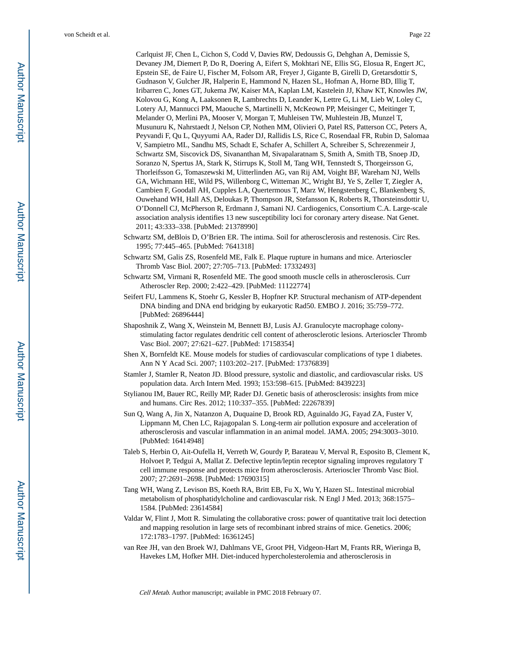Carlquist JF, Chen L, Cichon S, Codd V, Davies RW, Dedoussis G, Dehghan A, Demissie S, Devaney JM, Diemert P, Do R, Doering A, Eifert S, Mokhtari NE, Ellis SG, Elosua R, Engert JC, Epstein SE, de Faire U, Fischer M, Folsom AR, Freyer J, Gigante B, Girelli D, Gretarsdottir S, Gudnason V, Gulcher JR, Halperin E, Hammond N, Hazen SL, Hofman A, Horne BD, Illig T, Iribarren C, Jones GT, Jukema JW, Kaiser MA, Kaplan LM, Kastelein JJ, Khaw KT, Knowles JW, Kolovou G, Kong A, Laaksonen R, Lambrechts D, Leander K, Lettre G, Li M, Lieb W, Loley C, Lotery AJ, Mannucci PM, Maouche S, Martinelli N, McKeown PP, Meisinger C, Meitinger T, Melander O, Merlini PA, Mooser V, Morgan T, Muhleisen TW, Muhlestein JB, Munzel T, Musunuru K, Nahrstaedt J, Nelson CP, Nothen MM, Olivieri O, Patel RS, Patterson CC, Peters A, Peyvandi F, Qu L, Quyyumi AA, Rader DJ, Rallidis LS, Rice C, Rosendaal FR, Rubin D, Salomaa V, Sampietro ML, Sandhu MS, Schadt E, Schafer A, Schillert A, Schreiber S, Schrezenmeir J, Schwartz SM, Siscovick DS, Sivananthan M, Sivapalaratnam S, Smith A, Smith TB, Snoep JD, Soranzo N, Spertus JA, Stark K, Stirrups K, Stoll M, Tang WH, Tennstedt S, Thorgeirsson G, Thorleifsson G, Tomaszewski M, Uitterlinden AG, van Rij AM, Voight BF, Wareham NJ, Wells GA, Wichmann HE, Wild PS, Willenborg C, Witteman JC, Wright BJ, Ye S, Zeller T, Ziegler A, Cambien F, Goodall AH, Cupples LA, Quertermous T, Marz W, Hengstenberg C, Blankenberg S, Ouwehand WH, Hall AS, Deloukas P, Thompson JR, Stefansson K, Roberts R, Thorsteinsdottir U, O'Donnell CJ, McPherson R, Erdmann J, Samani NJ. Cardiogenics, Consortium C.A. Large-scale association analysis identifies 13 new susceptibility loci for coronary artery disease. Nat Genet. 2011; 43:333–338. [PubMed: 21378990]

Schwartz SM, deBlois D, O'Brien ER. The intima. Soil for atherosclerosis and restenosis. Circ Res. 1995; 77:445–465. [PubMed: 7641318]

- Schwartz SM, Galis ZS, Rosenfeld ME, Falk E. Plaque rupture in humans and mice. Arterioscler Thromb Vasc Biol. 2007; 27:705–713. [PubMed: 17332493]
- Schwartz SM, Virmani R, Rosenfeld ME. The good smooth muscle cells in atherosclerosis. Curr Atheroscler Rep. 2000; 2:422–429. [PubMed: 11122774]
- Seifert FU, Lammens K, Stoehr G, Kessler B, Hopfner KP. Structural mechanism of ATP-dependent DNA binding and DNA end bridging by eukaryotic Rad50. EMBO J. 2016; 35:759–772. [PubMed: 26896444]
- Shaposhnik Z, Wang X, Weinstein M, Bennett BJ, Lusis AJ. Granulocyte macrophage colonystimulating factor regulates dendritic cell content of atherosclerotic lesions. Arterioscler Thromb Vasc Biol. 2007; 27:621–627. [PubMed: 17158354]
- Shen X, Bornfeldt KE. Mouse models for studies of cardiovascular complications of type 1 diabetes. Ann N Y Acad Sci. 2007; 1103:202–217. [PubMed: 17376839]
- Stamler J, Stamler R, Neaton JD. Blood pressure, systolic and diastolic, and cardiovascular risks. US population data. Arch Intern Med. 1993; 153:598–615. [PubMed: 8439223]
- Stylianou IM, Bauer RC, Reilly MP, Rader DJ. Genetic basis of atherosclerosis: insights from mice and humans. Circ Res. 2012; 110:337–355. [PubMed: 22267839]
- Sun Q, Wang A, Jin X, Natanzon A, Duquaine D, Brook RD, Aguinaldo JG, Fayad ZA, Fuster V, Lippmann M, Chen LC, Rajagopalan S. Long-term air pollution exposure and acceleration of atherosclerosis and vascular inflammation in an animal model. JAMA. 2005; 294:3003–3010. [PubMed: 16414948]
- Taleb S, Herbin O, Ait-Oufella H, Verreth W, Gourdy P, Barateau V, Merval R, Esposito B, Clement K, Holvoet P, Tedgui A, Mallat Z. Defective leptin/leptin receptor signaling improves regulatory T cell immune response and protects mice from atherosclerosis. Arterioscler Thromb Vasc Biol. 2007; 27:2691–2698. [PubMed: 17690315]
- Tang WH, Wang Z, Levison BS, Koeth RA, Britt EB, Fu X, Wu Y, Hazen SL. Intestinal microbial metabolism of phosphatidylcholine and cardiovascular risk. N Engl J Med. 2013; 368:1575– 1584. [PubMed: 23614584]
- Valdar W, Flint J, Mott R. Simulating the collaborative cross: power of quantitative trait loci detection and mapping resolution in large sets of recombinant inbred strains of mice. Genetics. 2006; 172:1783–1797. [PubMed: 16361245]
- van Ree JH, van den Broek WJ, Dahlmans VE, Groot PH, Vidgeon-Hart M, Frants RR, Wieringa B, Havekes LM, Hofker MH. Diet-induced hypercholesterolemia and atherosclerosis in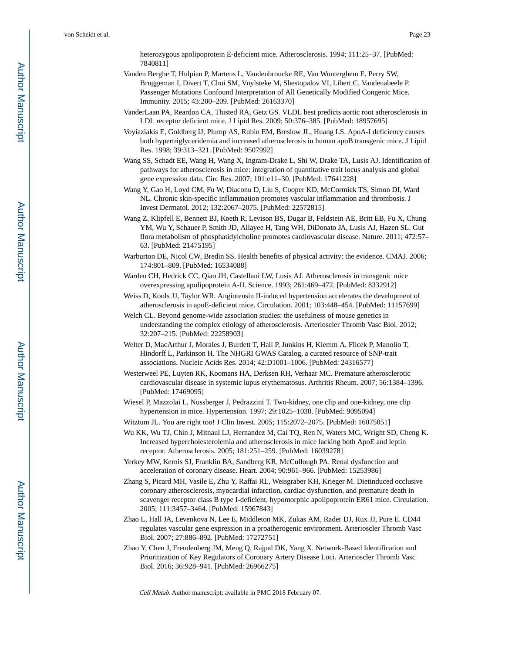heterozygous apolipoprotein E-deficient mice. Atherosclerosis. 1994; 111:25–37. [PubMed: 7840811]

- Vanden Berghe T, Hulpiau P, Martens L, Vandenbroucke RE, Van Wonterghem E, Perry SW, Bruggeman I, Divert T, Choi SM, Vuylsteke M, Shestopalov VI, Libert C, Vandenabeele P. Passenger Mutations Confound Interpretation of All Genetically Modified Congenic Mice. Immunity. 2015; 43:200–209. [PubMed: 26163370]
- VanderLaan PA, Reardon CA, Thisted RA, Getz GS. VLDL best predicts aortic root atherosclerosis in LDL receptor deficient mice. J Lipid Res. 2009; 50:376–385. [PubMed: 18957695]
- Voyiaziakis E, Goldberg IJ, Plump AS, Rubin EM, Breslow JL, Huang LS. ApoA-I deficiency causes both hypertriglyceridemia and increased atherosclerosis in human apoB transgenic mice. J Lipid Res. 1998; 39:313–321. [PubMed: 9507992]
- Wang SS, Schadt EE, Wang H, Wang X, Ingram-Drake L, Shi W, Drake TA, Lusis AJ. Identification of pathways for atherosclerosis in mice: integration of quantitative trait locus analysis and global gene expression data. Circ Res. 2007; 101:e11–30. [PubMed: 17641228]
- Wang Y, Gao H, Loyd CM, Fu W, Diaconu D, Liu S, Cooper KD, McCormick TS, Simon DI, Ward NL. Chronic skin-specific inflammation promotes vascular inflammation and thrombosis. J Invest Dermatol. 2012; 132:2067–2075. [PubMed: 22572815]
- Wang Z, Klipfell E, Bennett BJ, Koeth R, Levison BS, Dugar B, Feldstein AE, Britt EB, Fu X, Chung YM, Wu Y, Schauer P, Smith JD, Allayee H, Tang WH, DiDonato JA, Lusis AJ, Hazen SL. Gut flora metabolism of phosphatidylcholine promotes cardiovascular disease. Nature. 2011; 472:57– 63. [PubMed: 21475195]
- Warburton DE, Nicol CW, Bredin SS. Health benefits of physical activity: the evidence. CMAJ. 2006; 174:801–809. [PubMed: 16534088]
- Warden CH, Hedrick CC, Qiao JH, Castellani LW, Lusis AJ. Atherosclerosis in transgenic mice overexpressing apolipoprotein A-II. Science. 1993; 261:469–472. [PubMed: 8332912]
- Weiss D, Kools JJ, Taylor WR. Angiotensin II-induced hypertension accelerates the development of atherosclerosis in apoE-deficient mice. Circulation. 2001; 103:448–454. [PubMed: 11157699]
- Welch CL. Beyond genome-wide association studies: the usefulness of mouse genetics in understanding the complex etiology of atherosclerosis. Arterioscler Thromb Vasc Biol. 2012; 32:207–215. [PubMed: 22258903]
- Welter D, MacArthur J, Morales J, Burdett T, Hall P, Junkins H, Klemm A, Flicek P, Manolio T, Hindorff L, Parkinson H. The NHGRI GWAS Catalog, a curated resource of SNP-trait associations. Nucleic Acids Res. 2014; 42:D1001–1006. [PubMed: 24316577]
- Westerweel PE, Luyten RK, Koomans HA, Derksen RH, Verhaar MC. Premature atherosclerotic cardiovascular disease in systemic lupus erythematosus. Arthritis Rheum. 2007; 56:1384–1396. [PubMed: 17469095]
- Wiesel P, Mazzolai L, Nussberger J, Pedrazzini T. Two-kidney, one clip and one-kidney, one clip hypertension in mice. Hypertension. 1997; 29:1025–1030. [PubMed: 9095094]
- Witztum JL. You are right too! J Clin Invest. 2005; 115:2072–2075. [PubMed: 16075051]
- Wu KK, Wu TJ, Chin J, Mitnaul LJ, Hernandez M, Cai TQ, Ren N, Waters MG, Wright SD, Cheng K. Increased hypercholesterolemia and atherosclerosis in mice lacking both ApoE and leptin receptor. Atherosclerosis. 2005; 181:251–259. [PubMed: 16039278]
- Yerkey MW, Kernis SJ, Franklin BA, Sandberg KR, McCullough PA. Renal dysfunction and acceleration of coronary disease. Heart. 2004; 90:961–966. [PubMed: 15253986]
- Zhang S, Picard MH, Vasile E, Zhu Y, Raffai RL, Weisgraber KH, Krieger M. Dietinduced occlusive coronary atherosclerosis, myocardial infarction, cardiac dysfunction, and premature death in scavenger receptor class B type I-deficient, hypomorphic apolipoprotein ER61 mice. Circulation. 2005; 111:3457–3464. [PubMed: 15967843]
- Zhao L, Hall JA, Levenkova N, Lee E, Middleton MK, Zukas AM, Rader DJ, Rux JJ, Pure E. CD44 regulates vascular gene expression in a proatherogenic environment. Arterioscler Thromb Vasc Biol. 2007; 27:886–892. [PubMed: 17272751]
- Zhao Y, Chen J, Freudenberg JM, Meng Q, Rajpal DK, Yang X. Network-Based Identification and Prioritization of Key Regulators of Coronary Artery Disease Loci. Arterioscler Thromb Vasc Biol. 2016; 36:928–941. [PubMed: 26966275]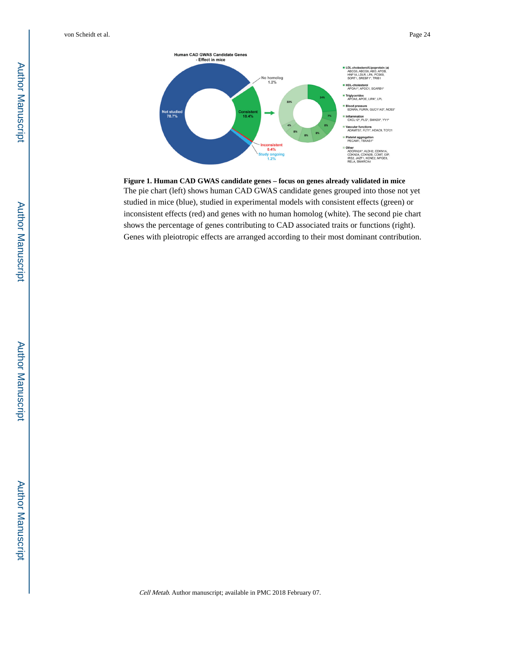



The pie chart (left) shows human CAD GWAS candidate genes grouped into those not yet studied in mice (blue), studied in experimental models with consistent effects (green) or inconsistent effects (red) and genes with no human homolog (white). The second pie chart shows the percentage of genes contributing to CAD associated traits or functions (right). Genes with pleiotropic effects are arranged according to their most dominant contribution.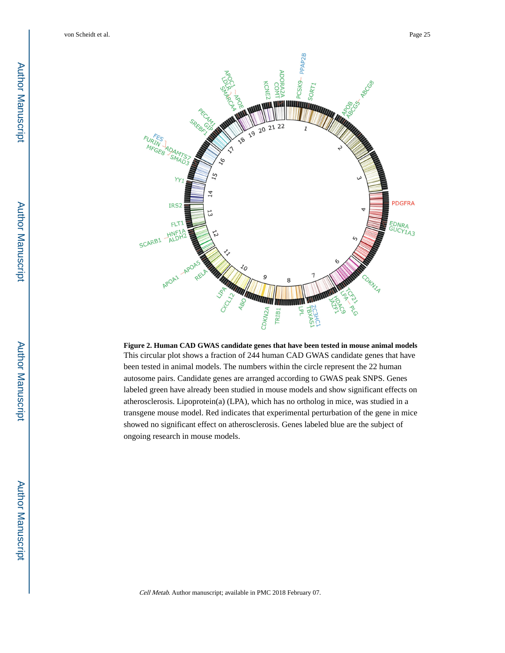

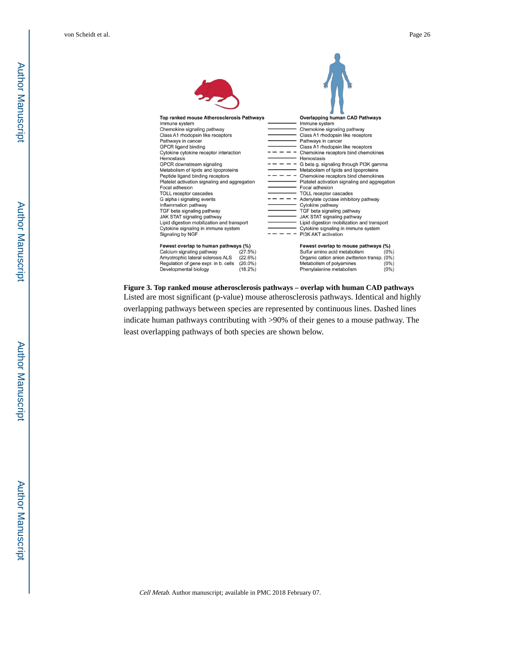Author Manuscript Author Manuscript

| Top ranked mouse Atherosclerosis Pathways     |            | <b>Overlapping human CAD Pathways</b>                      |         |  |  |
|-----------------------------------------------|------------|------------------------------------------------------------|---------|--|--|
| Immune system                                 |            | Immune system                                              |         |  |  |
| Chemokine signaling pathway                   |            | Chemokine signaling pathway                                |         |  |  |
| Class A1 rhodopsin like receptors             |            | Class A1 rhodopsin like receptors                          |         |  |  |
| Pathways in cancer                            |            | Pathways in cancer                                         |         |  |  |
| <b>GPCR ligand binding</b>                    |            | Class A1 rhodopsin like receptors                          |         |  |  |
| Cytokine cytokine receptor interaction        |            | Chemokine receptors bind chemokines                        |         |  |  |
| Hemostasis                                    |            | Hemostasis                                                 |         |  |  |
| GPCR downstream signaling                     |            | G beta g. signaling through PI3K gamma                     |         |  |  |
| Metabolism of lipids and lipoproteins         |            | Metabolism of lipids and lipoproteins                      |         |  |  |
| Peptide ligand binding receptors              |            | Chemokine receptors bind chemokines                        |         |  |  |
| Platelet activation signaling and aggregation |            | Platelet activation signaling and aggregation              |         |  |  |
| Focal adhesion                                |            | Focal adhesion                                             |         |  |  |
| <b>TOLL</b> receptor cascades                 |            | <b>TOLL receptor cascades</b>                              |         |  |  |
| G alpha i signaling events                    |            | Adenylate cyclase inhibitory pathway                       |         |  |  |
| Inflammation pathway                          |            | Cytokine pathway                                           |         |  |  |
| TGF beta signaling pathway                    |            | TGF beta signaling pathway                                 |         |  |  |
| JAK STAT signaling pathway                    |            | JAK STAT signaling pathway                                 |         |  |  |
| Lipid digestion mobilization and transport    |            | Lipid digestion mobilization and transport                 |         |  |  |
| Cytokine signaling in immune system           |            | Cytokine signaling in immune system<br>PI3K AKT activation |         |  |  |
| Signaling by NGF                              |            |                                                            |         |  |  |
| Fewest overlap to human pathways (%)          |            | Fewest overlap to mouse pathways (%)                       |         |  |  |
| Calcium signaling pathway                     | (27.5%)    | Sulfur amino acid metabolism                               | $(0\%)$ |  |  |
| Amyotrophic lateral sclerosis ALS             | (22.6%)    | Organic cation anion zwitterion transp. (0%)               |         |  |  |
| Regulation of gene expr. in b. cells          | $(20.0\%)$ | Metabolism of polyamines                                   | $(0\%)$ |  |  |
| Developmental biology                         | $(18.2\%)$ | Phenylalanine metabolism                                   | $(0\%)$ |  |  |
|                                               |            |                                                            |         |  |  |

**Figure 3. Top ranked mouse atherosclerosis pathways – overlap with human CAD pathways** Listed are most significant (p-value) mouse atherosclerosis pathways. Identical and highly overlapping pathways between species are represented by continuous lines. Dashed lines indicate human pathways contributing with >90% of their genes to a mouse pathway. The least overlapping pathways of both species are shown below.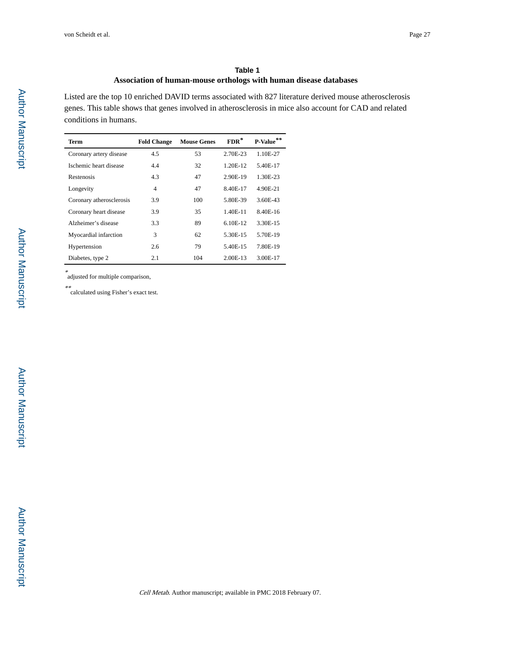#### **Table 1 Association of human-mouse orthologs with human disease databases**

Listed are the top 10 enriched DAVID terms associated with 827 literature derived mouse atherosclerosis genes. This table shows that genes involved in atherosclerosis in mice also account for CAD and related conditions in humans.

| Term                     | <b>Fold Change</b> | <b>Mouse Genes</b> | $FDR^*$    | P-Value** |
|--------------------------|--------------------|--------------------|------------|-----------|
| Coronary artery disease  | 4.5                | 53                 | 2.70E-23   | 1.10E-27  |
| Ischemic heart disease   | 4.4                | 32                 | $120E-12$  | 5.40E-17  |
| Restenosis               | 4.3                | 47                 | 2.90E-19   | 1.30E-23  |
| Longevity                | $\overline{4}$     | 47                 | 8.40E-17   | 4.90E-21  |
| Coronary atherosclerosis | 3.9                | 100                | 5.80E-39   | 3.60E-43  |
| Coronary heart disease   | 3.9                | 35                 | 140E-11    | 840E-16   |
| Alzheimer's disease      | 3.3                | 89                 | $6.10E-12$ | 3.30E-15  |
| Myocardial infarction    | 3                  | 62                 | 5.30E-15   | 5.70E-19  |
| Hypertension             | 2.6                | 79                 | 5.40E-15   | 7.80E-19  |
| Diabetes, type 2         | 2.1                | 104                | 2.00E-13   | 3.00E-17  |

\* adjusted for multiple comparison,

\*\* calculated using Fisher's exact test.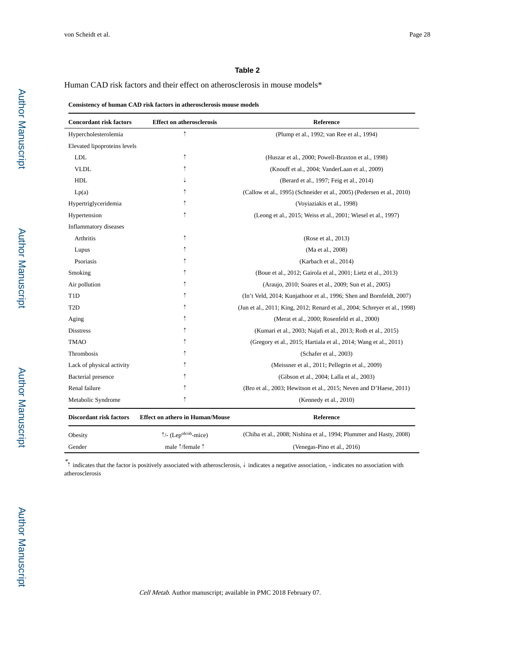#### **Table 2**

#### Human CAD risk factors and their effect on atherosclerosis in mouse models\*

| <b>Concordant risk factors</b> | <b>Effect on atherosclerosis</b>        | Reference                                                                  |
|--------------------------------|-----------------------------------------|----------------------------------------------------------------------------|
| Hypercholesterolemia           | ↑                                       | (Plump et al., 1992; van Ree et al., 1994)                                 |
| Elevated lipoproteins levels   |                                         |                                                                            |
| <b>LDL</b>                     | ↑                                       | (Huszar et al., 2000; Powell-Braxton et al., 1998)                         |
| <b>VLDL</b>                    | ↑                                       | (Knouff et al., 2004; VanderLaan et al., 2009)                             |
| <b>HDL</b>                     |                                         | (Berard et al., 1997; Feig et al., 2014)                                   |
| Lp(a)                          |                                         | (Callow et al., 1995) (Schneider et al., 2005) (Pedersen et al., 2010)     |
| Hypertriglyceridemia           | ↑                                       | (Voyiaziakis et al., 1998)                                                 |
| Hypertension                   | ↑                                       | (Leong et al., 2015; Weiss et al., 2001; Wiesel et al., 1997)              |
| Inflammatory diseases          |                                         |                                                                            |
| Arthritis                      | ↑                                       | (Rose et al., 2013)                                                        |
| Lupus                          | ↑                                       | (Ma et al., 2008)                                                          |
| Psoriasis                      |                                         | (Karbach et al., 2014)                                                     |
| Smoking                        |                                         | (Boue et al., 2012; Gairola et al., 2001; Lietz et al., 2013)              |
| Air pollution                  | ↑                                       | (Araujo, 2010; Soares et al., 2009; Sun et al., 2005)                      |
| T <sub>1</sub> D               | ↑                                       | (In't Veld, 2014; Kunjathoor et al., 1996; Shen and Bornfeldt, 2007)       |
| T <sub>2</sub> D               | ↑                                       | (Jun et al., 2011; King, 2012; Renard et al., 2004; Schreyer et al., 1998) |
| Aging                          | ↑                                       | (Merat et al., 2000; Rosenfeld et al., 2000)                               |
| <b>Disstress</b>               | ↑                                       | (Kumari et al., 2003; Najafi et al., 2013; Roth et al., 2015)              |
| <b>TMAO</b>                    |                                         | (Gregory et al., 2015; Hartiala et al., 2014; Wang et al., 2011)           |
| Thrombosis                     |                                         | (Schafer et al., 2003)                                                     |
| Lack of physical activity      |                                         | (Meissner et al., 2011; Pellegrin et al., 2009)                            |
| Bacterial presence             | ↑                                       | (Gibson et al., 2004; Lalla et al., 2003)                                  |
| Renal failure                  | ↑                                       | (Bro et al., 2003; Hewitson et al., 2015; Neven and D'Haese, 2011)         |
| Metabolic Syndrome             | $\uparrow$                              | (Kennedy et al., 2010)                                                     |
| <b>Discordant risk factors</b> | <b>Effect on athero in Human/Mouse</b>  | Reference                                                                  |
| Obesity                        | $\uparrow$ (Lep <sup>ob/ob</sup> -mice) | (Chiba et al., 2008; Nishina et al., 1994; Plummer and Hasty, 2008)        |
| Gender                         | male $\uparrow$ /female $\uparrow$      | (Venegas-Pino et al., 2016)                                                |

\* ↑ indicates that the factor is positively associated with atherosclerosis, ↓ indicates a negative association, - indicates no association with atherosclerosis